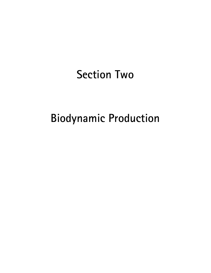# Section Two

# Biodynamic Production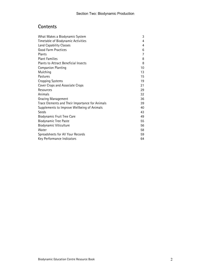# **Contents**

| What Makes a Biodynamic System                  | 3  |
|-------------------------------------------------|----|
| Timetable of Biodynamic Activities              | 4  |
| Land Capability Classes                         | 4  |
| <b>Good Farm Practices</b>                      | 6  |
| Plants                                          | 7  |
| <b>Plant Families</b>                           | 8  |
| <b>Plants to Attract Beneficial Insects</b>     | 8  |
| <b>Companion Planting</b>                       | 10 |
| Mulching                                        | 13 |
| Pastures                                        | 15 |
| <b>Cropping Systems</b>                         | 19 |
| Cover Crops and Associate Crops                 | 21 |
| Resources                                       | 29 |
| Animals                                         | 32 |
| Grazing Management                              | 36 |
| Trace Elements and Their Importance for Animals | 39 |
| Supplements to Improve Wellbeing of Animals     | 40 |
| Seeds                                           | 43 |
| Biodynamic Fruit Tree Care                      | 49 |
| <b>Biodynamic Tree Paste</b>                    | 55 |
| <b>Biodynamic Viticulture</b>                   | 56 |
| Water                                           | 58 |
| Spreadsheets for All Your Records               | 59 |
| Key Performance Indicators                      | 64 |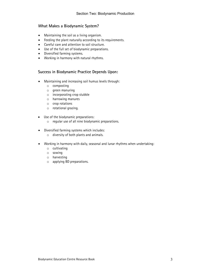### What Makes a Biodynamic System?

- Maintaining the soil as a living organism.
- Feeding the plant naturally according to its requirements.
- Careful care and attention to soil structure.
- Use of the full set of biodynamic preparations.
- Diversified farming systems.
- Working in harmony with natural rhythms.

### Success in Biodynamic Practice Depends Upon:

- Maintaining and increasing soil humus levels through:
	- o composting
	- o green manuring
	- o incorporating crop stubble
	- o harrowing manures
	- o crop rotations
	- o rotational grazing.
- Use of the biodynamic preparations:
	- o regular use of all nine biodynamic preparations.
- Diversified farming systems which includes:
	- o diversity of both plants and animals.
- Working in harmony with daily, seasonal and lunar rhythms when undertaking:
	- o cultivating
	- o sowing
	- o harvesting
	- o applying BD preparations.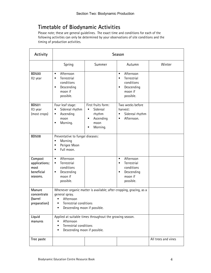# Timetable of Biodynamic Activities

Please note; these are general guidelines. The exact time and conditions for each of the following activities can only be determined by your observations of site conditions and the timing of production activities.

| Activity                                                   | <b>Season</b>                                                                                                                                                          |                                                                                                  |                                                                                                                                    |                     |  |  |
|------------------------------------------------------------|------------------------------------------------------------------------------------------------------------------------------------------------------------------------|--------------------------------------------------------------------------------------------------|------------------------------------------------------------------------------------------------------------------------------------|---------------------|--|--|
|                                                            | Spring                                                                                                                                                                 | Summer                                                                                           | Autumn                                                                                                                             | Winter              |  |  |
| <b>BD500</b><br>X2 year                                    | Afternoon<br>$\blacksquare$<br>Terrestrial<br>п<br>conditions<br>Descending<br>П<br>moon if<br>possible.                                                               |                                                                                                  | Afternoon<br>$\blacksquare$<br>Terrestrial<br>$\blacksquare$<br>conditions<br>Descending<br>П<br>moon if<br>possible.              |                     |  |  |
| <b>BD501</b><br>X3 year<br>(most crops)                    | Four leaf stage:<br>Sidereal rhythm<br>п<br>Ascending<br>٠<br>moon<br>Morning.<br>$\blacksquare$                                                                       | First fruits form:<br>Sidereal<br>rhythm<br>Ascending<br>П<br>moon<br>Morning.<br>$\blacksquare$ | Two weeks before<br>harvest:<br>Sidereal rhythm<br>Afternoon.<br>п                                                                 |                     |  |  |
| <b>BD508</b>                                               | Preventative to fungal diseases:<br>Morning<br>٠<br>Perigee Moon<br>п<br>Full moon.<br>$\blacksquare$                                                                  |                                                                                                  |                                                                                                                                    |                     |  |  |
| Compost<br>applications;<br>most<br>beneficial<br>seasons. | Afternoon<br>$\blacksquare$<br>Terrestrial<br>п<br>conditions<br>Descending<br>Ξ<br>moon if<br>possible.                                                               |                                                                                                  | Afternoon<br>$\blacksquare$<br>Terrestrial<br>$\blacksquare$<br>conditions<br>Descending<br>$\blacksquare$<br>moon if<br>possible. |                     |  |  |
| Manure<br>concentrate<br>(barrel<br>preparation)           | Whenever organic matter is available; after cropping, grazing, as a<br>general spray.<br>Afternoon<br>Terrestrial conditions<br>Ξ<br>Descending moon if possible.<br>Ξ |                                                                                                  |                                                                                                                                    |                     |  |  |
| Liquid<br>manures                                          | Applied at suitable times throughout the growing season.<br>Afternoon<br>Terrestrial conditions<br>Descending moon if possible.<br>п                                   |                                                                                                  |                                                                                                                                    |                     |  |  |
| Tree paste                                                 |                                                                                                                                                                        |                                                                                                  |                                                                                                                                    | All trees and vines |  |  |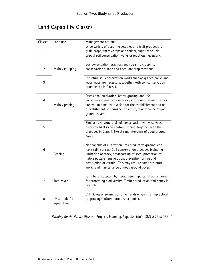# Land Capability Classes

| Classes      | Land use                      | Management options                                                                                                                                                                                                                                                                                                                               |
|--------------|-------------------------------|--------------------------------------------------------------------------------------------------------------------------------------------------------------------------------------------------------------------------------------------------------------------------------------------------------------------------------------------------|
| $\mathbf{1}$ |                               | Wide variety of uses - vegetables and fruit production,<br>grain crops, energy crops and fodder, sugar cane. No<br>special soil conservation works or practices necessary.                                                                                                                                                                       |
| 2            | Mainly cropping               | Soil conservation practices such as strip cropping,<br>conservation tillage and adequate crop rotations.                                                                                                                                                                                                                                         |
| 3            |                               | Structure soil conservation works such as graded banks and<br>waterways are necessary, together with soil conservation<br>practices as in Class 1.                                                                                                                                                                                               |
| 4            | Mainly grazing                | Occasional cultivation, better grazing land. Soil<br>conservation practices such as pasture improvement, stock<br>control, minimal cultivation for the establishment and re-<br>establishment of permanent pasture, maintenance of good<br>ground cover.                                                                                         |
| 5            |                               | Similar to 4, structural soil conservation works such as<br>diversion banks and contour ripping, together with the<br>practices in Class 4, like the maintenance of good ground<br>cover.                                                                                                                                                        |
| 6            | Grazing                       | Not capable of cultivation, less productive grazing, can<br>have saline areas. Soil conservation practices including<br>limitation of stock, broadcasting of seed, promotion of<br>native pasture regeneration, prevention of fire and<br>destruction of vermin. This may require some structural<br>works and maintenance of good ground cover. |
| 7            | Tree cover                    | Land best protected by trees. Very important habitat areas<br>for protecting biodiversity. Timber production and honey is<br>possible.                                                                                                                                                                                                           |
| 8            | Unsuitable for<br>agriculture | Cliff, lakes or swamps or other lands where it is impractical<br>to grow agricultural produce or timber.                                                                                                                                                                                                                                         |

Farming for the Future, Physical Property Planning, Page 52, 1999, ISBN 0 7313 0521 3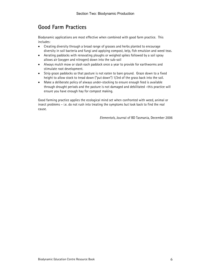# Good Farm Practices

Biodynamic applications are most effective when combined with good farm practice. This includes:

- Creating diversity through a broad range of grasses and herbs planted to encourage diversity in soil bacteria and fungi and applying compost, kelp, fish emulsion and weed teas.
- Aerating paddocks with renovating ploughs or weighed spikes followed by a soil spray allows air (oxygen and nitrogen) down into the sub-soil
- Always mulch mow or slash each paddock once a year to provide for earthworms and stimulate root development.
- Strip graze paddocks so that pasture is not eaten to bare ground. Graze down to a fixed height to allow stock to tread down ("put down") 1/3rd of the grass back into the soil.
- Make a deliberate policy of always under-stocking to ensure enough feed is available through drought periods and the pasture is not damaged and debilitated –this practice will ensure you have enough hay for compost making.

Good farming practice applies the ecological mind set when confronted with weed, animal or insect problems – i.e. do not rush into treating the symptoms but look back to find the real cause.

Elementals, Journal of BD Tasmania, December 2006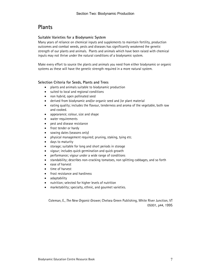# **Plants**

#### Suitable Varieties for a Biodynamic System

Many years of reliance on chemical inputs and supplements to maintain fertility, production outcomes and combat weeds, pests and diseases has significantly weakened the genetic strength of our plants and animals. Plants and animals which have been raised with chemical inputs may not thrive under the natural conditions of a biodynamic system.

Make every effort to source the plants and animals you need from either biodynamic or organic systems as these will have the genetic strength required in a more natural system.

#### Selection Criteria for Seeds, Plants and Trees

- plants and animals suitable to biodynamic production
- suited to local and regional conditions
- non hybrid, open pollinated seed
- derived from biodynamic and/or organic seed and /or plant material
- eating quality; includes the flavour, tenderness and aroma of the vegetable, both raw and cooked.
- appearance; colour, size and shape
- water requirements
- pest and disease resistance
- frost tender or hardy
- sowing dates (seasons only)
- physical management required; pruning, staking, tying etc.
- days to maturity
- storage; suitable for long and short periods in storage
- vigour; includes quick germination and quick growth
- performance; vigour under a wide range of conditions
- standability; describes non-cracking tomatoes, non splitting cabbages, and so forth
- ease of harvest
- time of harvest
- frost resistance and hardiness
- adaptability
- nutrition; selected for higher levels of nutrition
- marketability; specialty, ethnic, and gourmet varieties.

Coleman, E., The New Organic Grower, Chelsea Green Publishing, White River Junction, VT 05001, p44, 1995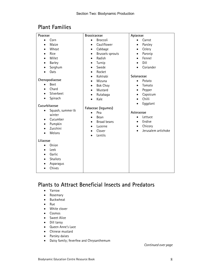# Plant Families

| Poaceae                                                                                                                                                                      | <b>Brassicaceae</b>                                                                                                                                                                                                         | Apiaceae                                                                                                                                                          |
|------------------------------------------------------------------------------------------------------------------------------------------------------------------------------|-----------------------------------------------------------------------------------------------------------------------------------------------------------------------------------------------------------------------------|-------------------------------------------------------------------------------------------------------------------------------------------------------------------|
| Corn<br>$\bullet$                                                                                                                                                            | Broccoli<br>$\bullet$                                                                                                                                                                                                       | Carrot<br>$\bullet$                                                                                                                                               |
| Maize<br>$\bullet$                                                                                                                                                           | Cauliflower<br>$\bullet$                                                                                                                                                                                                    | Parsley<br>$\bullet$                                                                                                                                              |
| Wheat                                                                                                                                                                        | Cabbage<br>$\bullet$                                                                                                                                                                                                        | Celery                                                                                                                                                            |
| Rice                                                                                                                                                                         | Brussels sprouts<br>$\bullet$                                                                                                                                                                                               | Parsnip<br>$\bullet$                                                                                                                                              |
| Millet                                                                                                                                                                       | Radish<br>$\bullet$                                                                                                                                                                                                         | Fennel                                                                                                                                                            |
| Barley                                                                                                                                                                       | Turnip<br>$\bullet$                                                                                                                                                                                                         | Dill<br>$\bullet$                                                                                                                                                 |
| Sorghum                                                                                                                                                                      | Swede<br>$\bullet$                                                                                                                                                                                                          | Coriander<br>$\bullet$                                                                                                                                            |
| Oats                                                                                                                                                                         | Rocket                                                                                                                                                                                                                      |                                                                                                                                                                   |
|                                                                                                                                                                              | Kohlrabi<br>$\bullet$                                                                                                                                                                                                       | Solanaceae                                                                                                                                                        |
|                                                                                                                                                                              |                                                                                                                                                                                                                             |                                                                                                                                                                   |
| <b>Beet</b><br>$\bullet$                                                                                                                                                     |                                                                                                                                                                                                                             |                                                                                                                                                                   |
| Chard                                                                                                                                                                        |                                                                                                                                                                                                                             |                                                                                                                                                                   |
| Silverbeet<br>$\bullet$                                                                                                                                                      |                                                                                                                                                                                                                             |                                                                                                                                                                   |
|                                                                                                                                                                              |                                                                                                                                                                                                                             |                                                                                                                                                                   |
|                                                                                                                                                                              |                                                                                                                                                                                                                             |                                                                                                                                                                   |
| Cucurbitaceae                                                                                                                                                                |                                                                                                                                                                                                                             |                                                                                                                                                                   |
| $\bullet$                                                                                                                                                                    | $\bullet$                                                                                                                                                                                                                   | Asteraceae                                                                                                                                                        |
|                                                                                                                                                                              | $\bullet$                                                                                                                                                                                                                   | Lettuce<br>$\bullet$                                                                                                                                              |
|                                                                                                                                                                              |                                                                                                                                                                                                                             | $\bullet$                                                                                                                                                         |
| ٠                                                                                                                                                                            |                                                                                                                                                                                                                             |                                                                                                                                                                   |
|                                                                                                                                                                              |                                                                                                                                                                                                                             |                                                                                                                                                                   |
|                                                                                                                                                                              |                                                                                                                                                                                                                             |                                                                                                                                                                   |
|                                                                                                                                                                              |                                                                                                                                                                                                                             |                                                                                                                                                                   |
|                                                                                                                                                                              |                                                                                                                                                                                                                             |                                                                                                                                                                   |
|                                                                                                                                                                              |                                                                                                                                                                                                                             |                                                                                                                                                                   |
| $\bullet$                                                                                                                                                                    |                                                                                                                                                                                                                             |                                                                                                                                                                   |
|                                                                                                                                                                              |                                                                                                                                                                                                                             |                                                                                                                                                                   |
| $\bullet$                                                                                                                                                                    |                                                                                                                                                                                                                             |                                                                                                                                                                   |
| Asparagus                                                                                                                                                                    |                                                                                                                                                                                                                             |                                                                                                                                                                   |
| Chives                                                                                                                                                                       |                                                                                                                                                                                                                             |                                                                                                                                                                   |
| Chenopodiaceae<br>Spinach<br>Squash, summer &<br>winter<br>Cucumber<br>Pumpkin<br>Zucchini<br>Melons<br>Liliaceae<br>Onion<br>$\bullet$<br>Leek<br>Garlic<br><b>Shallots</b> | Mizuna<br>$\bullet$<br><b>Bok Choy</b><br>$\bullet$<br>Mustard<br>$\bullet$<br>Rutabaga<br>Kale<br>$\bullet$<br>Fabaceae (legumes)<br>Pea<br><b>Bean</b><br><b>Broad beans</b><br>Lucerne<br>$\bullet$<br>Clover<br>Lentils | Potato<br>$\bullet$<br>Tomato<br>Pepper<br>٠<br>Capsicum<br>$\bullet$<br>Chilli<br>Eggplant<br>$\bullet$<br>Endive<br>Chicory<br>$\bullet$<br>Jerusalem artichoke |

# Plants to Attract Beneficial Insects and Predators

- Yarrow
- Rosemary
- Buckwheat
- Rue
- White clover
- Cosmos
- Sweet Alice
- Dill tansy
- Queen Anne's Lace
- Chinese mustard
- Parsley daises
- Daisy family; feverfew and Chrysanthemum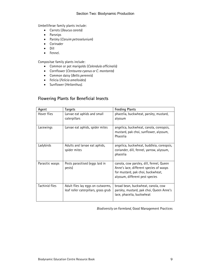Umbelliferae family plants include:

- Carrots (Daucus carota)
- Parsnips
- Parsley (Caruim petroselunium)
- Corinader
- Dill
- Fennel.

Compositae family plants include:

- Common or pot marigolds (Calendula officinalis)
- Cornflower (Centaurea cyanus or C. montanta)
- Common daisy (Bellis perennis)
- Felicia (Felicia amelloides)
- Sunflower (Helianthus).

# Flowering Plants for Beneficial Insects

| Agent                 | Targets                                                                   | <b>Feeding Plants</b>                                                                                                                                       |
|-----------------------|---------------------------------------------------------------------------|-------------------------------------------------------------------------------------------------------------------------------------------------------------|
| Hover flies           | Larvae eat aphids and small<br>caterpillars                               | phacelia, buckwheat, parsley, mustard,<br>alyssum                                                                                                           |
| Lacewings             | Larvae eat aphids, spider mites                                           | angelica, buckwheat, canola, coreopsis,<br>mustard, pak choi, sunflower, alyssum,<br>Phacelia                                                               |
| Ladybirds             | Adults and larvae eat aphids,<br>spider mites                             | angelica, buckwheat, buddleia, coreopsis,<br>coriander, dill, fennel, yarrow, alyssum,<br>phacelia                                                          |
| Parasitic wasps       | Pests parasitised (eggs laid in<br>pests)                                 | canola, cow parsley, dill, fennel, Queen<br>Anne's lace, different species of wasps<br>for mustard, pak choi, buckwheat,<br>alyssum, different pest species |
| <b>Tachinid flies</b> | Adult flies lay eggs on cutworms,<br>leaf roller caterpillars, grass grub | broad bean, buckwheat, canola, cow<br>parsley, mustard, pak choi, Queen Anne's<br>lace, phacelia, buckwheat                                                 |

Biodiversity on Farmland, Good Management Practices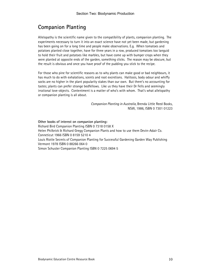# Companion Planting

Allelopathy is the scientific name given to the compatibility of plants, companion planting. The experiments necessary to turn it into an exact science have not yet been made, but gardening has been going on for a long time and people make observations. E.g. When tomatoes and potatoes planted close together, have for three years in a row, produced tomatoes too languid to hold their fruit and potatoes like marbles, but have come up with bumper crops when they were planted at opposite ends of the garden, something clicks. The reason may be obscure, but the result is obvious and once you have proof of the pudding you stick to the recipe.

For those who pine for scientific reasons as to why plants can make good or bad neighbours, it has much to do with exhalations, scents and root excretions. Halitosis, body odour and whiffy socks are no higher in the plant popularity stakes than our own. But there's no accounting for tastes; plants can prefer strange bedfellows. Like us they have their Dr Fells and seemingly irrational love-objects. Contentment is a matter of who's with whom. That's what allelopathy or companion planting is all about.

> Companion Planting in Australia, Brenda Little Reed Books, NSW, 1986, ISBN 0 7301 01223

Other books of interest on companion planting: Richard Bird Companion Planting ISBN 0 7318 0158 X Helen Philbrick & Richard Gregg Companion Plants and how to use them Devin-Adair Co. Conneticut 1966 ISBN 0 8159 5210 4 Louis Riotte Secrets of Companion Planting for Successful Gardening Garden Way Publishing Vermont 1978 ISBN 0 88266 064 0 Simon Schuster Companion Planting ISBN 0 7225 0694 5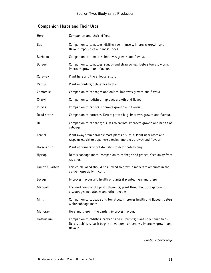# Companion Herbs and Their Uses

| Herb            | Companion and their effects                                                                                                                                     |
|-----------------|-----------------------------------------------------------------------------------------------------------------------------------------------------------------|
| Basil           | Companion to tomatoes; dislikes rue intensely. Improves growth and<br>flavour, repels flies and mosquitoes.                                                     |
| Beebalm         | Companion to tomatoes. Improves growth and flavour.                                                                                                             |
| Borage          | Companion to tomatoes, squash and strawberries. Deters tomato worm,<br>improves growth and flavour.                                                             |
| Caraway         | Plant here and there; loosens soil.                                                                                                                             |
| Catnip          | Plant in borders; deters flea beetle.                                                                                                                           |
| Camomile        | Companion to cabbages and onions. Improves growth and flavour.                                                                                                  |
| Chervil         | Companion to radishes. Improves growth and flavour.                                                                                                             |
| Chives          | Companion to carrots. Improves growth and flavour.                                                                                                              |
| Dead nettle     | Companion to potatoes. Deters potato bug; improves growth and flavour.                                                                                          |
| Dill            | Companion to cabbage; dislikes to carrots. Improves growth and health of<br>cabbage.                                                                            |
| Fennel          | Plant away from gardens; most plants dislike it. Plant near roses and<br>raspberries; deters Japanese beetles. Improves growth and flavour.                     |
| Horseradish     | Plant at corners of potato patch to deter potato bug.                                                                                                           |
| Hyssop          | Deters cabbage moth; companion to cabbage and grapes. Keep away from<br>radishes.                                                                               |
| Lamb's Quarters | This edible weed should be allowed to grow in moderate amounts in the<br>garden, especially in corn.                                                            |
| Lovage          | Improves flavour and health of plants if planted here and there.                                                                                                |
| Marigold        | The workhorse of the pest deterrents; plant throughout the garden it<br>discourages nematodes and other beetles.                                                |
| Mint            | Companion to cabbage and tomatoes; improves health and flavour. Deters<br>white cabbage moth.                                                                   |
| Marjoram        | Here and there in the garden; improves flavour.                                                                                                                 |
| Nasturtium      | Companion to radishes, cabbage and curcurbits; plant under fruit trees.<br>Deters aphids, squash bugs, striped pumpkin beetles. Improves growth and<br>flavour. |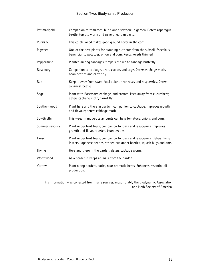#### Section Two: Biodynamic Production

| Pot marigold   | Companion to tomatoes, but plant elsewhere in garden. Deters asparagus<br>beetle, tomato worm and general garden pests.                                  |
|----------------|----------------------------------------------------------------------------------------------------------------------------------------------------------|
| Purslane       | This edible weed makes good ground cover in the corn.                                                                                                    |
| Pigweed        | One of the best plants for pumping nutrients from the subsoil. Especially<br>beneficial to potatoes, onion and corn. Keeps weeds thinned.                |
| Peppermint     | Planted among cabbages it repels the white cabbage butterfly.                                                                                            |
| Rosemary       | Companion to cabbage, bean, carrots and sage. Deters cabbage moth,<br>bean beetles and carrot fly.                                                       |
| Rue            | Keep it away from sweet basil; plant near roses and raspberries. Deters<br>Japanese beetle.                                                              |
| Sage           | Plant with Rosemary, cabbage, and carrots; keep away from cucumbers;<br>deters cabbage moth, carrot fly.                                                 |
| Southernwood   | Plant here and there in garden; companion to cabbage. Improves growth<br>and flavour; deters cabbage moth.                                               |
| Sowthistle     | This weed in moderate amounts can help tomatoes, onions and corn.                                                                                        |
| Summer savoury | Plant under fruit trees; companion to roses and raspberries. Improves<br>growth and flavour; deters bean beetles.                                        |
| Tansy          | Plant under fruit trees; companion to roses and raspberries. Deters flying<br>insects, Japanese beetles, striped cucumber beetles, squash bugs and ants. |
| Thyme          | Here and there in the garden; deters cabbage worm.                                                                                                       |
| Wormwood       | As a border, it keeps animals from the garden.                                                                                                           |
| Yarrow         | Plant along borders, paths, near aromatic herbs. Enhances essential oil<br>production.                                                                   |

This information was collected from many sources, most notably the Biodynamic Association and Herb Society of America.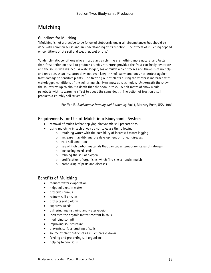# Mulching

#### Guidelines for Mulching

"Mulching is not a practice to be followed stubbornly under all circumstances but should be done with common sense and an understanding of its function. The effects of mulching depend on conditions of the soil and weather, wet or dry."

"Under climatic conditions where frost plays a role, there is nothing more natural and better than frost action on a soil to produce crumbly structure, provided the frost can freely penetrate and the soil is well drained. A waterlogged, soaky mulch which freezes and thaws is of no help and only acts as an insulator; does not even keep the soil warm and does not protect against frost damage to sensitive plants. The freezing out of plants during the winter is increased with waterlogged conditions of the soil or mulch. Even snow acts as mulch. Underneath the snow, the soil warms up to about a depth that the snow is thick. A half metre of snow would penetrate with its warming effect to about the same depth. The action of frost on a soil produces a crumbly soil structure."

Pfeiffer, E., Biodynamic Farming and Gardening, Vol.1, Mercury Press, USA, 1983

### Requirements for Use of Mulch in a Biodynamic System

- removal of mulch before applying biodynamic soil preparations
- using mulching in such a way as not to cause the following:
	- o retaining water with the possibility of increased water logging
	- o increase in acidity and the development of fungal diseases
	- o cold soil conditions
	- o use of high carbon materials that can cause temporary losses of nitrogen
	- o increasing weed seeds
	- o robbing the soil of oxygen
	- o proliferation of organisms which find shelter under mulch
	- o harbouring of pests and diseases.

### Benefits of Mulching

- reduces water evaporation
- helps soils retain water
- preserves humus
- reduces soil erosion
- protects soil biology
- suppress weeds
- buffering against wind and water erosion
- increases the organic matter content in soils
- modifying soil pH
- improving soil structure
- prevents surface crusting of soils
- source of plant nutrients as mulch breaks down.
- feeding and protecting soil organisms
- helping to cool soils.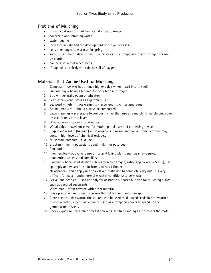### Problems of Mulching

- in wet, cold seasons mulching can do great damage
- collecting and retaining water
- water logging
- increases acidity and the development of fungal diseases
- soils take longer to warm up in spring
- some mulch materials with high C:N ratios cause a temporary loss of nitrogen for use by plants
- can be a source of weed seeds
- if applied too thickly can rob the soil of oxygen.

### Materials that Can be Used for Mulching

- 1. Compost however has a much higher value when mixed into the soil
- 2. Lucerne hay being a legume it is very high in nitrogen
- 3. Straw generally oaten or wheaten
- 4. Leaf litter very useful as a garden mulch
- 5. Seaweed high in trace elements excellent mulch for asparagus
- 6. Animal manures should always be composted
- 7. Lawn clippings preferable to compost rather than use as a mulch. Dried clippings can be used if only a thin layer
- 8. Weeds, cover crops or crop residues
- 9. Wood chips excellent cover for retaining moisture and protecting the soil
- 10. Sugarcane residue (bagasse) use organic sugarcane and conventionally grown may contain high levels of chemical residues.
- 11. Mushroom compost alkaline
- 12. Bracken high in potassium, good mulch for potatoes
- 13. Pine bark
- 14. Pine needles acidic, very useful for acid loving plants such as strawberries, blueberries, azaleas and camellias
- 15. Sawdust because of its high C:N (carbon to nitrogen) ratio (approx 400 500:1), use sparingly and ensure it is not from untreated timber
- 16. Newspaper don't apply in a thick layer, if allowed to completely dry out, it is very difficult for water (under normal weather conditions) to permeate.
- 17. Gravel and pebbles used not only for aesthetic purposes but also for mulching plants such as cacti ad succulents
- 18. Weed mat often covered with other material
- 19. Black plastic can be used to warm the soil before planting in spring
- 20. Clear plastic also warms the soil and can be used to kill weed seeds in hot weather. In cool weather, clear plastic can be used as a temporary cover to speed up the germination of seeds.
- 21. Rocks good mulch around trees if chickens are free ranging as it protects the roots.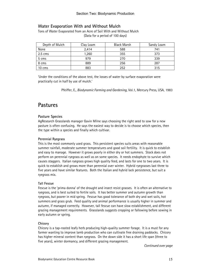# Water Evaporation With and Without Mulch

Tons of Water Evaporated from an Acre of Soil With and Without Mulch (Data for a period of 100 days)

| Depth of Mulch | Clay Loam | <b>Black Marsh</b> | Sandy Loam |
|----------------|-----------|--------------------|------------|
| None           | 2,414     | 588                | 741        |
| 2.5 cms        | 1.260     | 355                | 373        |
| 5 cms          | 979       | 270                | 339        |
| 8 cms          | 889       | 256                | 287        |
| 10 cms         | 883       | 252                | 315        |

'Under the conditions of the above test, the losses of water by surface evaporation were practically cut in half by use of mulch.'

Pfeiffer, E., Biodynamic Farming and Gardening, Vol.1, Mercury Press, USA, 1983

# Pastures

### Pasture Species

AgResearch Grasslands manager Gavin Milne says choosing the right seed to sow for a new pasture is often confusing. He says the easiest way to decide is to choose which species, then the type within a species and finally which cultivar.

#### Perennial Ryegrass

This is the most commonly used grass. This persistent species suits areas with reasonable summer rainfall, moderate summer temperatures and good soil fertility. It is quick to establish and easy to manage. However it grows poorly in either dry or hot summers. Stock does not perform on perennial ryegrass as well as on some species. It needs endophyte to survive which causes staggers. Italian ryegrass grows high quality feed, and lasts for one to two years. It is quick to establish and grows more than perennial over winter. Hybrid ryegrasses last three to five years and have similar features. Both the Italian and hybrid lack persistence, but suit a ryegrass mix.

#### Tall Fescue

Fescue is the 'prima donna' of the drought and insect resist grasses. It is often an alternative to ryegrass, and is best suited to fertile soils. It has better summer and autumn growth than ryegrass, but poorer in mid spring. Fescue has good tolerance of both dry and wet soils, hot summers and grass grub. Feed quality and animal performance is usually higher in summer and autumn, if managed correctly. However, tall fescue can have slow establishment, and different grazing management requirements. Grasslands suggests cropping or fallowing before sowing in early autumn or spring.

#### **Chicory**

Chicory is a tap-rooted leafy herb producing high-quality summer forage. It is a must for any farmer wanting to improve lamb production who can cultivate free draining paddocks. Chicory has higher mineral content than ryegrass. On the down side it has a short life span (three to five years), winter dormancy, and different grazing management.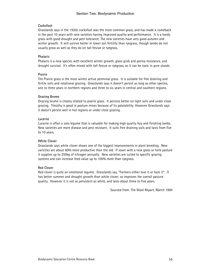#### **Cocksfoot**

Grasslands says in the 1920s cocksfoot was the most common grass, and has made a comeback in the past 10 years with new varieties having improved quality and performance. It is a hardy grass with good drought and pest tolerance. The new varieties have very good autumn and winter growth. It will survive better in lower soil fertility than ryegrass, though lambs do not usually grow as well as they do on tall fescue or ryegrass.

#### Phalaris

Phalaris is a new species with excellent winter growth, grass grub and porina resistance, and drought survival. It's often mixed with tall fescue or ryegrass, as it can be toxic in pure stands.

#### Prairie

The Prairie grass is the most winter active perennial grass. It is suitable for free draining and fertile soils and rotational grazing. Grasslands says it doesn't persist as long as other species, one to three years in northern regions and three to six years in central and southern regions.

#### Grazing Brome

Grazing brome is closely related to prairie grass. It persists better on light soils and under close grazing. Timothy is good in pasture mixes because of its palatability. However Grasslands says it doesn't persist well in hot regions or under close grazing.

#### Lucerne

Lucerne is often a solo legume that is valuable for making high quality hay and finishing lambs. New varieties are more disease and pest resistant. It suits free draining soils and lasts from five to 10 years.

#### White Clover

Grasslands says white clover shows one of the biggest improvements in plant breeding. New varieties are about 60% more productive than the old. If sown with a new grass or herb pasture it supplies up to 250kg of nitrogen annually. New varieties are suited to specific grazing systems and can increase feed value up to 100% more than ryegrass.

#### Red Clover

Red clover is quite an emotional legume. Grasslands say, "Farmers either love it or hate it". It has better summer and drought growth than white clover, so improves the overall pasture quality. However it is not as persistent as white, and lasts about three to five years.

Sourced from: The Wool Report, March 1994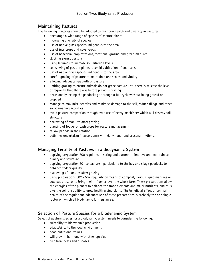# Maintaining Pastures

The following practices should be adopted to maintain health and diversity in pastures:

- encourage a wide range of species of pasture plants
- increasing diversity of species
- use of native grass species indigenous to the area
- use of intercrops and cover crops
- use of beneficial crop rotations, rotational grazing and green manures
- slashing excess pasture
- using legumes to increase soil nitrogen levels
- sod sowing of pasture plants to avoid cultivation of poor soils
- use of native grass species indigenous to the area
- careful grazing of pasture to maintain plant health and vitality
- allowing adequate regrowth of pasture
- limiting grazing to ensure animals do not graze pasture until there is at least the level of regrowth that there was before previous grazing
- occasionally letting the paddocks go through a full cycle without being grazed or cropped
- manage to maximise benefits and minimise damage to the soil, reduce tillage and other soil-damaging activities
- avoid pasture compaction through over-use of heavy machinery which will destroy soil structure
- harrowing of manures after grazing
- planting of fodder or cash crops for pasture management
- fallow periods in the rotation
- activities undertaken in accordance with daily, lunar and seasonal rhythms.

# Managing Fertility of Pastures in a Biodynamic System

- applying preparation 500 regularly, in spring and autumn to improve and maintain soil quality and structure
- applying preparation 501 to pasture particularly to the hay and silage paddocks to enhance fodder quality
- harrowing of manures after grazing
- using preparations 502 507 regularly by means of compost, various liquid manures or cow pat pit so as to bring their influence over the whole farm. These preparations allow the energies of the planets to balance the trace elements and major nutrients, and thus give the soil the ability to grow health giving plants. The beneficial effect on animal health of the regular and adequate use of these preparations is probably the one single factor on which all biodynamic farmers agree.

# Selection of Pasture Species for a Biodynamic System

Select of pasture species for a biodynamic system needs to consider the following:

- suitability to biodynamic production
- adaptability to the local environment
- good nutritional values
- will grow in harmony with other species
- free from pests and diseases.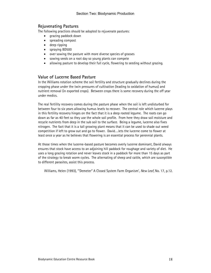## Rejuvenating Pastures

The following practices should be adopted to rejuvenate pastures:

- grazing paddock down
- spreading compost
- deep ripping
- spraying BD500
- over sowing the pasture with more diverse species of grasses
- sowing seeds on a root day so young plants can compete
- allowing pasture to develop their full cycle, flowering to seeding without grazing.

# Value of Lucerne Based Pasture

In the Williams rotation scheme the soil fertility and structure gradually declines during the cropping phase under the twin pressures of cultivation (leading to oxidation of humus) and nutrient removal (in exported crops). Between crops there is some recovery during the off year under medics.

The real fertility recovery comes during the pasture phase when the soil is left undisturbed for between four to six years allowing humus levels to recover. The central role which lucerne plays in this fertility recovery hinges on the fact that it is a deep rooted legume. The roots can go down as far as 40 feet so they use the whole soil profile. From here they draw soil moisture and recycle nutrients from deep in the sub soil to the surface. Being a legume, lucerne also fixes nitrogen. The fact that it is a tall growing plant means that it can be used to shade out weed competition if left to grow out and go to flower. David….lets the lucerne come to flower at least once a year as he believes that flowering is an essential process for perennial plants.

At those times when the lucerne-based pasture becomes overly lucerne dominant, David always ensures that stock have access to an adjoining hill paddock for roughage and variety of diet. He uses a long grazing rotation and never leaves stock in a paddock for more than 15 days as part of the strategy to break worm cycles. The alternating of sheep and cattle, which are susceptible to different parasites, assist this process.

Williams, Helen (1993), '"Demeter" A Closed System Farm Organism', New Leaf, No. 17, p.12.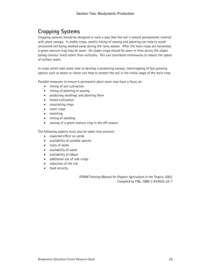# Cropping Systems

Cropping systems should be designed in such a way that the soil is almost permanently covered with plant canopy. In arable crops, careful timing of sowing and planting can help to avoid uncovered soil being washed away during the rainy season. After the main crops are harvested, a green manure crop may be sown. On slopes crops should be sown in lines across the slopes (along contour lines) rather than vertically. This can contribute enormously to reduce the speed of surface water.

In crops which take some time to develop a protecting canopy, intercropping of fast growing species such as beans or clover can help to protect the soil in the initial stage of the main crop.

Possible measures to ensure a permanent plant cover may have a focus on:

- timing of soil cultivation
- timing of planting or sowing
- producing seedlings and planting them
- mixed cultivation
- associating crops
- cover crops
- mulching
- timing of weeding
- sowing of a green manure crop in the off-season.

The following aspects must also be taken into account:

- expected effect on yields
- availability of suitable species
- costs of seeds
- availability of water
- availability of labour
- additional use of side-crops
- reduction of the risk
- food security.

IFOAM Training Manual for Organic Agriculture in the Tropics, 2003, Complied by FiBL, ISBN 3-934055-25-7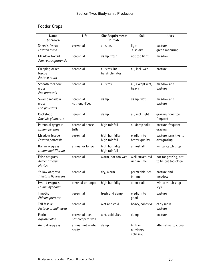# Fodder Crops

| Name<br>botanical                             | Life                               | <b>Site Requirements</b><br>Climate | Soil                             | <b>Uses</b>                                 |
|-----------------------------------------------|------------------------------------|-------------------------------------|----------------------------------|---------------------------------------------|
| Sheep's fescue<br>Festuca ovina               | perennial                          | all sites                           | light<br>also dry                | pasture<br>green manuring                   |
| Meadow foxtail<br>Alopecurus pratensis        | perennial                          | damp, fresh                         | not too light                    | meadow                                      |
| Creeping or red<br>fescue<br>Festuca rubra    | perennial                          | all sites, incl.<br>harsh climates  | all, incl. wet                   | pasture                                     |
| Smooth meadow<br>grass<br>Poa pratensis       | perennial                          | all sites                           | all, except wet,<br>heavy        | meadow and<br>pasture                       |
| Swamp meadow<br>grass<br>Poa palustrus        | perennial<br>not long-lived        | damp                                | damp, wet                        | meadow and<br>pasture                       |
| Cocksfoot<br>Dactylis glomerate               | perennial                          | damp                                | all, incl. light                 | grazing none too<br>frequent                |
| Perennial ryegrass<br>Lolium perenne          | perennial dense<br>tufts           | high rainfall                       | all damp soils                   | pasture, frequent<br>grazing                |
| Meadow fescue<br>Festuca pratensis            | perennial                          | high humidity<br>high rainfall      | medium to<br>better quality      | pasture, sensitive to<br>overgrazing        |
| Italian ryegrass<br>Lolium multiflorum        | annual or longer                   | high humidity<br>high rainfall      | almost all                       | winter catch crop                           |
| False oatgrass<br>Arrhenatherum<br>elatius    | perennial                          | warm, not too wet                   | well structured<br>rich in lime  | not for grazing, not<br>to be cut too often |
| Yellow oatgrass<br><b>Trisetum flavescens</b> | perennial                          | dry, warm                           | permeable rich<br>in lime        | pasture and<br>meadow                       |
| Hybrid ryegrass<br>Lolium hybridum            | biennial or longer                 | high humidity                       | almost all                       | winter catch crop<br>leys                   |
| Timothy<br>Phleum pretense                    | perennial                          | fresh and damp                      | medium to<br>good                | pasture                                     |
| Tall fescue<br>Festuca arundinacea            | perennial                          | wet and cold                        | heavy, cohesive                  | early mow<br>pasture                        |
| Fiorin<br>Agrostis alba                       | perennial does<br>not compete well | wet, cold sites                     | damp                             | pasture                                     |
| Annual ryegrass                               | annual not winter<br>hardy         | damp                                | high in<br>nutrients<br>cohesive | alternative to clover                       |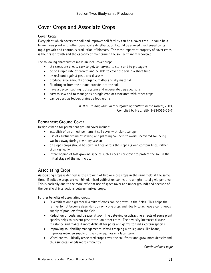# Cover Crops and Associate Crops

#### Cover Crops

Every plant which covers the soil and improves soil fertility can be a cover crop. It could be a leguminous plant with other beneficial side effects, or it could be a weed chacterised by its rapid growth and enormous production of biomass. The most important property of cover crops is their fast growth and the capacity of maintaining the soil permanently covered.

The following chacteristics make an ideal cover crop:

- the seeds are cheap, easy to get, to harvest, to store and to propagate
- be of a rapid rate of growth and be able to cover the soil in a short time
- be resistant against pests and diseases
- produce large amounts or organic matter and dry material
- fix nitrogen from the air and provide it to the soil
- have a de-compacting root system and regenerate degraded soils
- easy to sow and to manage as a single crop or associated with other crops
- can be used as fodder, grains as food grains.

# IFOAM Training Manual for Organic Agriculture in the Tropics, 2003,

Complied by FiBL, ISBN 3-934055-25-7

### Permanent Ground Cover

Design criteria for permanent ground cover include:

- establish of an almost permanent soil cover with plant canopy
- use of careful timing of sowing and planting can help to avoid uncovered soil being washed away during the rainy season
- on slopes crops should be sown in lines across the slopes (along contour lines) rather than vertically
- intercropping of fast growing species such as beans or clover to protect the soil in the initial stage of the main crop.

### Associating Crops

Associating crops is defined as the growing of two or more crops in the same field at the same time. If suitable crops are combined, mixed cultivation can lead to a higher total yield per area. This is basically due to the more efficient use of space (over and under ground) and because of the beneficial interactions between mixed crops.

Further benefits of associating crops:

- Diversification: a greater diversity of crops can be grown in the fields. This helps the farmer to not become dependant on only one crop, and ideally to achieve a continuous supply of products from the field
- Reduction of pests and disease attack: The deterring or attracting effects of some plant species helps to prevent pest attack on other crops. The diversity increases disease resistance and makes it more difficult for pests and germs to find a certain species.
- Improving soil fertility management: Mixed cropping with legumes, like beans, improves nitrogen supply of the non-legumes in a later term.
- Weed control: Ideally associated crops cover the soil faster and grow more densely and thus suppress weeds more efficiently.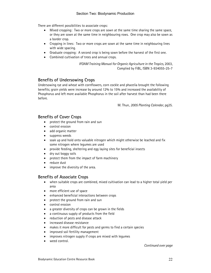There are different possibilities to associate crops:

- Mixed cropping: Two or more crops are sown at the same time sharing the same space, or they are sown at the same time in neighbouring rows. One crop may also be sown as a border crop.
- Cropping in lines: Two or more crops are sown at the same time in neighbouring lines with wide spacing.
- Graduate cropping: A second crop is being sown before the harvest of the first one.
- Combined cultivation of trees and annual crops.

IFOAM Training Manual for Organic Agriculture in the Tropics, 2003, Complied by FiBL, ISBN 3-934055-25-7

### Benefits of Undersowing Crops

Undersowing rye and wheat with cornflowers, corn cockle and phacelia brought the following benefits; grain yields were increase by around 12% to 15% and increased the availability of Phosphorus and left more available Phosphorus in the soil after harvest than had been there before.

M. Thun, 2005 Planting Calendar, pg25.

### Benefits of Cover Crops

- protect the ground from rain and sun
- control erosion
- add organic matter
- suppress weeds
- soak up and hold onto valuable nitrogen which might otherwise be leached and fix some nitrogen where legumes are used
- provide feeding, sheltering and egg laying sites for beneficial insects
- dry out boggy soils
- protect them from the impact of farm machinery
- reduce dust
- improve the diversity of the area.

#### Benefits of Associate Crops

- when suitable crops are combined, mixed cultivation can lead to a higher total yield per area
- more efficient use of space
- enhanced beneficial interactions between crops
- protect the ground from rain and sun
- control erosion
- a greater diversity of crops can be grown in the fields
- a continuous supply of products from the field
- reduction of pests and disease attack
- increased disease resistance
- makes it more difficult for pests and germs to find a certain species
- improved soil fertility management
- improves nitrogen supply if crops are mixed with legumes
- weed control.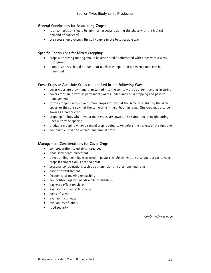#### General Conclusions for Associating Crops:

- root competition should be minimal (especially during the phase with the highest demand of nutrients)
- the roots should occupy the soil volume in the best possible way.

#### Specific Conclusions for Mixed Cropping:

- crops with strong rooting should be associated or alternated with crops with a weak root growth
- plant distances should be such that nutrient competition between plants can be minimised.

#### Cover Crops or Associate Crops can be Used in the Following Ways:

- cover crops are grown and then turned into the soil to work as green manures in spring
- cover crops are grown as permanent swards under vines or in cropping and pasture management
- mixed cropping when two or more crops are sown at the same time sharing the same space, or they are sown at the same time in neighbouring rows. One crop may also be sown as a border crop
- cropping in lines when two or more crops are sown at the same time in neighbouring lines with wide spacing
- graduate cropping when a second crop is being sown before the harvest of the first one
- combined cultivation of trees and annual crops.

#### Management Considerations for Cover Crops

- soil preparation to establish seed bed
- good seed depth placement
- direct drilling techniques as used in pasture establishment are also appropriate to cover crops if competition is not too great
- seasonal considerations such as autumn planting after opening rains
- ease of establishment
- frequency of mowing or slashing
- competition against weeds while establishing
- expected effect on yields
- availability of suitable species
- costs of seeds
- availability of water
- availability of labour
- food security.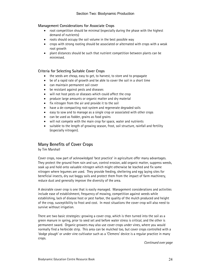### Management Considerations for Associate Crops

- root competition should be minimal (especially during the phase with the highest demand of nutrients)
- roots should occupy the soil volume in the best possible way
- crops with strong rooting should be associated or alternated with crops with a weak root growth
- plant distances should be such that nutrient competition between plants can be minimised.

#### Criteria for Selecting Suitable Cover Crops

- the seeds are cheap, easy to get, to harvest, to store and to propagate
- be of a rapid rate of growth and be able to cover the soil in a short time
- can maintain permanent soil cover
- be resistant against pests and diseases
- will not host pests or diseases which could affect the crop
- produce large amounts or organic matter and dry material
- fix nitrogen from the air and provide it to the soil
- have a de-compacting root system and regenerate degraded soils
- easy to sow and to manage as a single crop or associated with other crops
- can be used as fodder, grains as food grains
- will not compete with the main crop for space, water and nutrients
- suitable to the length of growing season, frost, soil structure, rainfall and fertility (especially nitrogen).

### Many Benefits of Cover Crops

by Tim Marshall

Cover crops, now part of acknowledged 'best practice' in agriculture offer many advantages. They protect the ground from rain and sun, control erosion, add organic matter, suppress weeds, soak up and hold onto valuable nitrogen which might otherwise be leached and fix some nitrogen where legumes are used. They provide feeding, sheltering and egg laying sites for beneficial insects, dry out boggy soils and protect them from the impact of farm machinery, reduce dust and generally improve the diversity of the area.

A desirable cover crop is one that is easily managed. Management considerations and activities include ease of establishment, frequency of mowing, competition against weeds while establishing, lack of disease host or pest harbor, the quality of the mulch produced and height of the crop, susceptibility to frost and cost. In most situations the cover crop will also need to survive without irrigation.

There are two basic strategies: growing a cover crop, which is then turned into the soil as a green manure in spring, prior to seed set and before water stress is critical, and the other is permanent sward. Organic growers may also use cover crops under vines, where you would normally find a herbicide strip. This area can be mulched too, but cover crops controlled with a 'dodge plough' or under vine cultivator such as a 'Clemens' device is a regular practice in many crops.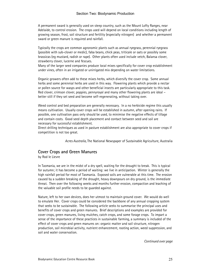A permanent sward is generally used on steep country, such as the Mount Lofty Ranges, near Adelaide, to control erosion. The crops used will depend on local conditions including length of growing season, frost, soil structure and fertility (especially nitrogen) and whether a permanent sward or green manure is required and rainfall.

Typically the crops are common agronomic plants such as annual ryegrass, perennial ryegrass (possible with sub-clover or medic), faba beans, chick peas, triticale or oats or possibly some brassicas (eg mustard, radish or rape). Other plants often used include vetch, Balansa clover, strawberry clover, lucerne and fescues.

Many of the larger seed companies produce local mixes specifically for cover crop establishment under vines, often in an irrigated or unirrigated mix depending on water limitations.

Organic growers often add to these mixes herbs, which diversify the cover crop. Some annual herbs and some perennial herbs are used in this way. Flowering plants which provide a nectar or pollen source for wasps and other beneficial insects are particularly appropriate to this task. Red clover, crimson clover, poppies, pennyroyal and many other flowering plants are ideal – better still if they set seed and become self-regenerating, without taking over.

Weed control and bed preparation are generally necessary. In a no herbicide regime this usually means cultivation. Usually cover crops will be established in autumn, after opening rains. If possible, one cultivation pass only should be used, to minimise the negative effects of tillage and contain costs. Good seed depth placement and contact between seed and soil are necessary for successful establishment.

Direct drilling techniques as used in pasture establishment are also appropriate to cover crops if competition is not too great.

Acres Australia, The National Newspaper of Sustainable Agriculture, Australia

### Cover Crops and Green Manures

by Rod le Lievre

In Tasmania, we are in the midst of a dry spell, waiting for the drought to break. This is typical for autumn; it has become a period of waiting: we live in anticipation. Winter is generally the high rainfall period for most of Tasmania. Exposed soils are vulnerable at this time. The erosion caused by a sudden breaking of the drought, heavy downpours on dry ground, is the immediate threat. Then over the following weeks and months further erosion, compaction and leaching of the valuable soil profile needs to be guarded against.

Nature, left to her own devices, does her utmost to maintain ground cover. We would do well to emulate Her. Cover crops could be considered the backbone of any annual cropping system that seeks to be sustainable. The following article seeks to summarise the principal uses and benefits of cover crops and green manures. Brief descriptions and examples are provided for cover crops, green manures, living mulches, catch crops, and some forage crops. To impart a sense of the importance of these practices in sustainable farming, a summary is included of the effect of cover crops and green manures on: organic matter and soil structure, nitrogen production, soil microbial activity, nutrient enhancement, rooting action, weed suppression, and soil and water conservation.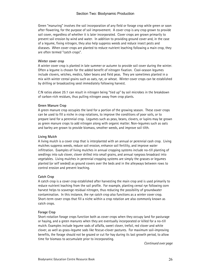Green "manuring" involves the soil incorporation of any field or forage crop while green or soon after flowering, for the purpose of soil improvement. A cover crop is any crop grown to provide soil cover, regardless of whether it is later incorporated. Cover crops are grown primarily to prevent soil erosion by wind and water. In addition to providing ground cover and, in the case of a legume, fixing nitrogen, they also help suppress weeds and reduce insect pests and diseases. When cover crops are planted to reduce nutrient leaching following a main crop, they are often termed "catch crops".

#### Winter cover crop

A winter cover crop is planted in late summer or autumn to provide soil cover during the winter. Often a legume is chosen for the added benefit of nitrogen fixation. Cool-season legumes include clovers, vetches, medics, faber beans and field peas. They are sometimes planted in a mix with winter cereal grains such as oats, rye, or wheat. Winter cover crops can be established by drilling or broadcasting seed immediately following harvest.

C:N ratios above 25:1 can result in nitrogen being "tied up" by soil microbes in the breakdown of carbon-rich residues, thus pulling nitrogen away from crop plants.

#### Green Manure Crop

A green manure crop occupies the land for a portion of the growing season. These cover crops can be used to fill a niche in crop rotations, to improve the conditions of poor soils, or to prepare land for a perennial crop. Legumes such as peas, beans, clovers, or lupins may be grown as green manure crops to add nitrogen along with organic matter. Non-legumes such as oats and barley are grown to provide biomass, smother weeds, and improve soil tilth.

#### Living Mulch

A living mulch is a cover crop that is interplanted with an annual or perennial cash crop. Living mulches suppress weeds, reduce soil erosion, enhance soil fertility, and improve water infiltration. Examples of living mulches in annual cropping systems include no-till planting of seedlings into sub clover, clover drilled into small grains, and annual ryegrass broadcast into vegetables. Living mulches in perennial cropping systems are simply the grasses or legumes planted (or self seeded) as ground covers over the beds and in the alleyways between rows to control erosion and prevent leaching.

#### Catch Crop

A catch crop is a cover crop established after harvesting the main crop and is used primarily to reduce nutrient leaching from the soil profile. For example, planting cereal rye following corn harvest helps to scavenge residual nitrogen, thus reducing the possibility of groundwater contamination. In this instance, the rye catch crop also functions as a winter cover crop. Short-term cover crops that fill a niche within a crop rotation are also commonly known as catch crops.

#### Forage Crop

Short-rotation forage crops function both as cover crops when they occupy land for pasturage or haying, and a green manures when they are eventually incorporated or killed for a no-till mulch. Examples include legume sods of alfalfa, sweet clover, trefoil, red clover and white clover, as well as grass-legume sods like fescue-clover pastures. For maximum soil-improving benefits, the forage should not be grazed or cut for hay during its last growth period, to allow time for biomass to accumulate prior to incorporating.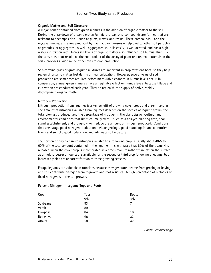#### Organic Matter and Soil Structure

A major benefit obtained from green manures is the addition of organic matter to the soil. During the breakdown of organic matter by micro-organisms, compounds are formed that are resistant to decomposition – such as gums, waxes, and resins. These compounds – and the mycelia, mucus, and slime produced by the micro-organisms – help bind together soil particles as granules, or aggregates. A well- aggregated soil tills easily, is well aerated, and has a high water infiltration rate. Increased levels of organic matter also influence soil humus. Humus the substance that results as the end product of the decay of plant and animal materials in the soil – provides a wide range of benefits to crop production.

Sod-forming grass or grass-legume mixtures are important in crop rotations because they help replenish organic matter lost during annual cultivation. However, several years of sod production are sometimes required before measurable changes in humus levels occur. In comparison, annual green manures have a negligible effect on humus levels, because tillage and cultivation are conducted each year. They do replenish the supply of active, rapidly decomposing organic matter.

#### Nitrogen Production

Nitrogen production from legumes is a key benefit of growing cover crops and green manures. The amount of nitrogen available from legumes depends on the species of legume grown, the total biomass produced, and the percentage of nitrogen in the plant tissue. Cultural and environmental conditions that limit legume growth – such as a delayed planting date, poor stand establishment, and drought – will reduce the amount of nitrogen produced. Conditions that encourage good nitrogen production include getting a good stand, optimum soil nutrient levels and soil pH, good nodulation, and adequate soil moisture.

The portion of green-manure nitrogen available to a following crop is usually about 40% to 60% of the total amount contained in the legume. It is estimated that 60% of the tissue N is released when the cover crop is incorporated as a green manure rather than left on the surface as a mulch. Lesser amounts are available for the second or third crop following a legume, but increased yields are apparent for two to three growing seasons.

Forage legumes are valuable in rotations because they generate income from grazing or haying and still contribute nitrogen from regrowth and root residues. A high percentage of biologically fixed nitrogen is in the top growth.

#### Percent Nitrogen in Legume Tops and Roots

| Crop       | Tops               | Roots |
|------------|--------------------|-------|
|            | $0/0$ <sub>N</sub> | $\%N$ |
| Soybeans   | 93                 |       |
| Vetch      | 89                 | 11    |
| Cowpeas    | 84                 | 16    |
| Red clover | 68                 | 32    |
| Alfalfa    | 58                 | 42    |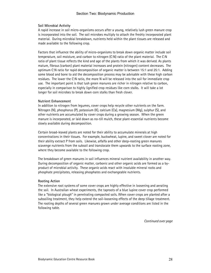#### Soil Microbial Activity

A rapid increase in soil micro-organisms occurs after a young, relatively lush green manure crop is incorporated into the soil. The soil microbes multiply to attach the freshly incorporated plant material. During microbial breakdown, nutrients held within the plant tissues are released and made available to the following crop.

Factors that influence the ability of micro-organisms to break down organic matter include soil temperature, soil moisture, and carbon to nitrogen (C:N) ratio of the plant material. The C:N ratio of plant tissue reflects the kind and age of the plants from which it was derived. As plants mature, fibrous (carbon) plant material increases and protein (nitrogen) content decreases. The optimum C:N ratio for rapid decomposition of organic matter is between 15:1 and 25:1. Adding some blood and bone to aid the decomposition process may be advisable with these high carbon residues. The lower the C:N ratio, the more N will be released into the soil for immediate crop use. The important point is that lush green manures are richer in nitrogen relative to carbon, especially in comparison to highly lignified crop residues like corn stalks. It will take a lot longer for soil microbes to break down corn stalks than fresh clover.

#### Nutrient Enhancement

In addition to nitrogen from legumes, cover crops help recycle other nutrients on the farm. Nitrogen (N), phosphorus (P), potassium (K), calcium (Ca), magnesium (Mg), sulphur (S), and other nutrients are accumulated by cover crops during a growing season. When the green manure is incorporated, or laid down as no-till mulch, these plant-essential nutrients become slowly available during decomposition.

Certain broad-leaved plants are noted for their ability to accumulate minerals at high concentrations in their tissues. For example, buckwheat, lupine, and sweet clover are noted for their ability extract P from soils. Likewise, alfalfa and other deep-rooting green manures scavenge nutrients from the subsoil and translocate them upwards to the surface rooting zone, where they become available to the following crop.

The breakdown of green manures in soil influences mineral nutrient availability in another way. During decomposition of organic matter, carbonic and other organic acids are formed as a byproduct of microbial activity. These organic acids react with insoluble mineral rocks and phosphate precipitates, releasing phosphates and exchangeable nutrients.

#### Rooting Action

The extensive root systems of some cover crops are highly effective in loosening and aerating the soil. In Australian wheat experiments, the taproots of a blue lupine cover crop performed like a "biological plough" in penetrating compacted soils. When cover crops are planted after a subsoiling treatment, they help extend the soil-loosening effects of the deep tillage treatment. The rooting depths of several green manures grown under average conditions are listed in the following table.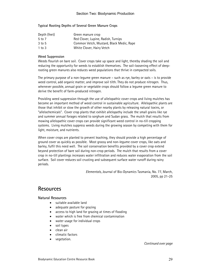#### Typical Rooting Depths of Several Green Manure Crops

| Depth (feet) | Green manure crop                        |
|--------------|------------------------------------------|
| 5 to 7       | Red Clover, Lupine, Radish, Turnips      |
| 3 to 5       | Common Vetch, Mustard, Black Medic, Rape |
| 1 to $3$     | White Clover, Hairy Vetch                |

#### Weed Suppression

Weeds flourish on bare soil. Cover crops take up space and light, thereby shading the soil and reducing the opportunity for weeds to establish themselves. The soil-loosening effect of deeprooting green manures also reduces weed populations that thrive in compacted soils.

The primary purpose of a non-legume green manure – such as rye, barley or oats – is to provide weed control, add organic matter, and improve soil tilth. They do not produce nitrogen. Thus, whenever possible, annual grain or vegetable crops should follow a legume green manure to derive the benefit of farm-produced nitrogen.

Providing weed suppression through the use of allelopathic cover crops and living mulches has become an important method of weed control in sustainable agriculture. Allelopathic plants are those that inhibit or slow the growth of other nearby plants by releasing natural toxins, or "allelochemicals". Cover crop plants that exhibit allelopathy include the small grains like rye and summer annual forages related to sorghum and Sudan grass. The mulch that results from mowing allelopathic cover crops can provide significant weed control in no-till cropping systems. Living mulches suppress weeds during the growing season by competing with them for light, moisture, and nutrients.

When cover crops are planted to prevent leaching, they should provide a high percentage of ground cover as quickly as possible. Most grassy and non-legume cover crops, like oats and barley, fulfil this need well. The soil conservation benefits provided by a cover crop extend beyond protection of bare soil during non-crop periods. The mulch that results from a cover crop in no-till plantings increases water infiltration and reduces water evaporation from the soil surface. Soil cover reduces soil crusting and subsequent surface water runoff during rainy periods.

> Elementals, Journal of Bio-Dynamics Tasmania, No. 77, March, 2005, pp 21-25

# Resources

#### Natural Resources

- suitable available land
- adequate pasture for grazing
- access to high land for grazing at times of flooding
- water which is free from chemical contamination
- water usage for individual crops
- soil types
- clean air
- climatic factors
- vegetation.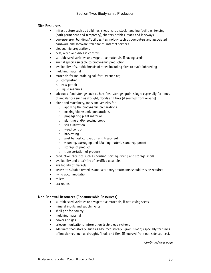#### Site Resources

- infrastructure such as buildings, sheds, yards, stock handling facilities, fencing (both permanent and temporary), shelters, stables, roads and laneways
- power/energy, buildings/facilities, technology such as computers and associated hardware and software, telephones, internet services
- biodynamic preparations
- pest, weed and disease controls
- suitable seed varieties and vegetative materials, if saving seeds
- animal species suitable to biodynamic production
- availability of suitable breeds of stock including sires to avoid inbreeding
- mulching material
- materials for maintaining soil fertility such as;
	- o composting
	- o cow pat pit
	- o liquid manures
- adequate food storage such as hay, feed storage, grain, silage; especially for times of imbalances such as drought, floods and fires (if sourced from on-site)
- plant and machinery, tools and vehicles for;
	- $\circ$  applying the biodynamic preparations
	- o making biodynamic preparations
	- o propagating plant material
	- o planting and/or sowing crops
	- o soil cultivation
	- o weed control
	- o harvesting
	- o post harvest cultivation and treatment
	- o cleaning, packaging and labelling materials and equipment
	- o storage of produce
	- o transportation of produce
- production facilities such as housing, sorting, drying and storage sheds
- availability and proximity of certified abattoirs
- availability of markets
- access to suitable remedies and veterinary treatments should this be required
- living accommodation
- toilets
- tea rooms.

#### Non Renewal Resources (Consumerable Resources)

- suitable seed varieties and vegetative materials, if not saving seeds
- mineral inputs and supplements
- shell grit for poultry
- mulching material
- power and gas
- telecommunications, information technology systems
- adequate food storage such as hay, feed storage, grain, silage; especially for times of imbalances such as drought, floods and fires (if sourced from out-side sources).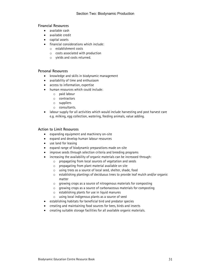#### Financial Resources

- available cash
- available credit
- capital assets
- financial considerations which include:
	- o establishment costs
	- o costs associated with production
	- o yields and costs returned.

#### Personal Resources

- knowledge and skills in biodynamic management
- availability of time and enthusiasm
- access to information, expertise
- human resources which could include:
	- o paid labour
	- o contractors
	- o suppliers
	- o consultants.
- labour supply for all activities which would include harvesting and post harvest care e.g. milking, egg collection, watering, feeding animals, value adding.

#### Action to Limit Resources

- expanding equipment and machinery on-site
- expand and develop human labour resources
- use land for leasing
- expand range of biodynamic preparations made on-site
- improve seeds through selection criteria and breeding programs
- increasing the availability of organic materials can be increased through:
	- o propagating from local sources of vegetation and seeds
	- o propagating from plant material available on site
	- o using trees as a source of local seed, shelter, shade, food
	- o establishing plantings of deciduous trees to provide leaf mulch and/or organic matter
	- o growing crops as a source of nitrogenous materials for composting
	- o growing crops as a source of carbonaceous materials for composting
	- o establishing plants for use in liquid manures
	- o using local indigenous plants as a source of seed
- establishing habitats for beneficial bird and predator species
- creating and maintaining food sources for bees, birds and insects
- creating suitable storage facilities for all available organic materials.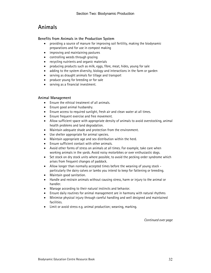# Animals

#### Benefits from Animals in the Production System

- providing a source of manure for improving soil fertility, making the biodynamic preparations and for use in compost making
- improving and maintaining pastures
- controlling weeds through grazing
- recycling nutrients and organic materials
- producing products such as milk, eggs, fibre, meat, hides, young for sale
- adding to the system diversity, biology and interactions in the farm or garden
- serving as draught animals for tillage and transport
- produce young for breeding or for sale
- serving as a financial investment.

#### Animal Management

- Ensure the ethical treatment of all animals.
- Ensure good animal husbandry.
- Ensure access to required sunlight, fresh air and clean water at all times.
- Ensure frequent exercise and free movement.
- Allow sufficient space with appropriate density of animals to avoid overstocking, animal health problems and land degradation.
- Maintain adequate shade and protection from the environment.
- Use shelter appropriate for animal species.
- Maintain appropriate age and sex distribution within the herd.
- Ensure sufficient contact with other animals.
- Avoid other forms of stress on animals at all times. For example, take care when working animals in the yards. Avoid noisy motorbikes or over enthusiastic dogs.
- Set stock on dry stock units where possible, to avoid the pecking order syndrome which arises from frequent changes of paddock.
- Allow longer than normally accepted times before the weaning of young stock particularly the dairy calves or lambs you intend to keep for fattening or breeding.
- Maintain good sanitation.
- Handle and restrain animals without causing stress, harm or injury to the animal or handler.
- Manage according to their natural instincts and behavior.
- Ensure daily routines for animal management are in harmony with natural rhythms
- Minimise physical injury through careful handling and well designed and maintained facilities.
- Limit or avoid stress e.g. animal production; weaning, marking.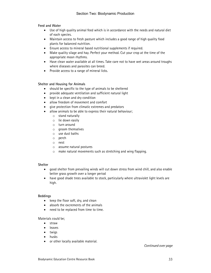#### Feed and Water

- Use of high quality animal feed which is in accordance with the needs and natural diet of each species.
- Maintain access to fresh pasture which includes a good range of high quality food plants for balanced nutrition.
- Ensure access to mineral based nutritional supplements if required.
- Make quality silage and hay. Perfect your method. Cut your crop at the time of the appropriate moon rhythms.
- Have clean water available at all times. Take care not to have wet areas around troughs where diseases and parasites can breed.
- Provide access to a range of mineral licks.

#### Shelter and Housing for Animals

- should be specific to the type of animals to be sheltered
- provide adequate ventilation and sufficient natural light
- kept in a clean and dry condition
- allow freedom of movement and comfort
- give protection from climatic extremes and predators
- allow animals to be able to express their natural behaviour;
	- o stand naturally
	- o lie down easily
	- o turn around
	- o groom themselves
	- o use dust baths
	- o perch
	- o nest
	- o assume natural postures
	- o make natural movements such as stretching and wing flapping.

#### Shelter

- good shelter from prevailing winds will cut down stress from wind chill, and also enable better grass growth over a longer period
- have good shade trees available to stock, particularly where ultraviolet light levels are high.

#### Beddings

- keep the floor soft, dry, and clean
- absorb the excrements of the animals
- need to be replaced from time to time.

#### Materials could be;

- straw
- leaves
- twigs
- husks
- or other locally available material.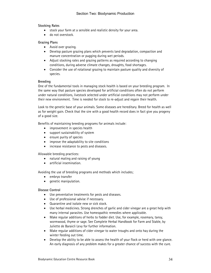#### Stocking Rates

- stock your farm at a sensible and realistic density for your area.
- do not overstock.

#### Grazing Plans

- Avoid over grazing.
- Develop pasture grazing plans which prevents land degradation, compaction and manure concentration or pugging during wet periods.
- Adjust stocking rates and grazing patterns as required according to changing conditions, during adverse climate changes, droughts, food shortages.
- Consider the use of rotational grazing to maintain pasture quality and diversity of species.

#### Breeding

One of the fundamental tools in managing stock health is based on your breeding program. In the same way that pasture species developed for artificial conditions often do not perform under natural conditions, livestock selected under artificial conditions may not perform under their new environment. Time is needed for stock to re-adjust and regain their health.

Look to the genetic base of your animals. Some diseases are hereditary. Breed for health as well as for weight gain. Check that the sire with a good health record does in fact give you progeny of a good size.

Benefits of maintaining breeding programs for animals include:

- improvement in species health
- support sustainability of system
- ensure purity of species
- improve the adaptability to site conditions
- increase resistance to pests and diseases.

Allowable breeding practices:

- natural mating and raising of young
- artificial insemination.

Avoiding the use of breeding programs and methods which includes;

- embryo transfer
- genetic manipulation.

#### Disease Control

- Use preventative treatments for pests and diseases.
- Use of professional advise if necessary.
- Quarantine and isolate new or sick stock.
- Use herbal medicines. Strong drenches of garlic and cider vinegar are a great help with many internal parasites. Use homeopathic remedies where applicable.
- Make regular additions of herbs to fodder diet. Use, for example, rosemary, tansy, wormwood, thyme or sage. See Complete Herbal Handbook for Farm and Stable, by Juliette de Baraicli Levy for further information.
- Make regular additions of cider vinegar to water troughs and onto hay during the winter feeding out time.
- Develop the ability to be able to assess the health of your flock or herd with one glance. An early diagnosis of any problem makes for a greater chance of success with the cure.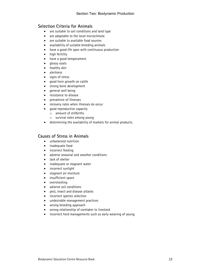### Selection Criteria for Animals

- are suitable to soil conditions and land type
- are adaptable to the local microclimate
- are suitable to available food sources
- availability of suitable breeding animals
- have a good life span with continuous production
- high fertility
- have a good temperament
- glossy coats
- healthy skin
- alertness
- signs of stress
- good horn growth on cattle
- strong bone development
- general well being
- resistance to disease
- prevalence of illnesses
- recovery rates when illnesses do occur
- good reproductive capacity
	- o amount of stillbirths
	- o survival rates among young
- determining the availability of markets for animal products.

### Causes of Stress in Animals

- unbalanced nutrition
- inadequate food
- incorrect feeding
- adverse seasonal and weather conditions
- lack of shelter
- inadequate or stagnant water
- incorrect sunlight
- stagnant air moisture
- insufficient space
- overstocking
- adverse soil conditions
- pest, insect and disease attacks
- incorrect species selection
- undesirable management practices
- wrong breeding approach
- wrong relationship of caretaker to livestock
- incorrect herd managements such as early weaning of young.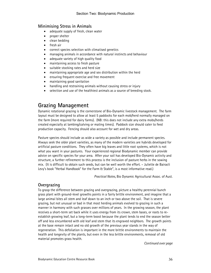### Minimising Stress in Animals

- adequate supply of fresh, clean water
- proper shelter
- clean bedding
- fresh air
- correct species selection with climatised genetics
- managing animals in accordance with natural instincts and behaviour
- adequate variety of high quality food
- maintaining access to fresh pasture
- suitable stocking rates and herd size
- maintaining appropriate age and sex distribution within the herd
- ensuring frequent exercise and free movement
- maintaining good sanitation
- handling and restraining animals without causing stress or injury
- selection and use of the healthiest animals as a source of breeding stock.

# Grazing Management

Dynamic rotational grazing is the cornerstone of Bio-Dynamic livestock management. The farm layout must be designed to allow at least 5 paddocks for each mob/herd normally managed on the farm (more required for dairy farms). (NB: this does not include any extra mobs/herds created especially at lambing/calving or mating times). Paddock size should cater to feed production capacity. Fencing should also account for wet and dry areas.

Pasture species should include as wide a variety as possible and include permanent species. Always seek the older plant varieties, as many of the modern varieties are hybrids developed for artificial pasture conditions. They often have big leaves and little root systems, which is not what you want in your pastures. Your experienced regional Biodynamic member can provide advice on specific species for your area. After your soil has developed Bio-Dynamic activity and structure, a further refinement to this process is the inclusion of pasture herbs in the sowing mix. (It is difficult to obtain such seeds, but can be well worth the effort. – Juliette de Bairacli Levy's book "Herbal Handbook" for the Farm & Stable", is a most informative read.)

Practical Notes, Bio Dynamic Agricultural Assoc. of Aust.

### **Overgrazing**

To grasp the difference between grazing and overgrazing, picture a healthy perennial bunch grass plant with ground-level growths points in a fairly brittle environment, and imagine that a large animal bites all stem and leaf down to an inch or two above the soil. That is severe grazing, but not unusual or bad in that most herding animals evolved to grazing in such a manner in harmony with such grasses over millions of years. In the growing season, the plant receives a short-term set back while it uses energy from its crown, stem bases, or roots to reestablish growing leaf, but a long-term boost because the plant tends to end the season better off and less encumbered with old leaf and stem that its engraved neighbors. The growth points at the base remain intact and no old growth of the previous year stands in the way of regeneration. This defoliation is important in the more brittle environments to maintain the health and longevity of the plants, but even in the less brittle environments, removal of old material promotes grass health.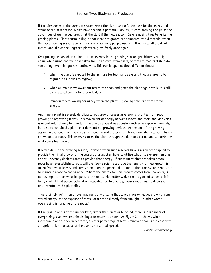#### Section Two: Biodynamic Production

If the bite comes in the dormant season when the plant has no further use for the leaves and stems of the past season, which have become a potential liability, it loses nothing and gains the advantage of unimpeded growth at the start if the new season. Severe gazing thus benefits the grazing plants. Plants surrounding it that were not grazed are hampered by old material when the next growing season starts. This is why so many people use fire. It removes all the dead matter and allows the ungrazed plants to grow freely once again.

Overgrazing occurs when a plant bitten severely in the growing season gets bitten severely again while using energy it has taken from its crown, stem bases, or roots to re-establish leaf something perennial grasses routinely do. This can happen at three different times:

- 1. when the plant is exposed to the animals for too many days and they are around to regraze it as it tries to regrow;
- 2. when animals move away but return too soon and graze the plant again while it is still using stored energy to reform leaf; or
- 3. immediately following dormancy when the plant is growing new leaf from stored energy.

Any time a plant is severely defoliated, root growth ceases as energy is shunted from root growing to regrowing leaves. This movement of energy between leaves and roots and vice versa is important, not only to maintain the plant's ancient relationship with severe grazing animals, but also to sustain the plant over dormant nongrowing periods. At the end of the growing season, most perennial grasses transfer energy and protein from leaves and stems to stem bases, crown, and/or roots. This reserve carries the plant through the dormant period and supports the next year's first growth.

If bitten during the growing season, however, when such reserves have already been tapped to provide the initial growth of the season, grasses then have to utilize what little energy remains and will severely deplete roots to provide that energy. If subsequent bites are taken before roots have re-established, roots will die. Some scientists argue that energy for new growth is taken from what leaves and stems remain on the grazed plant and in the process some roots die to maintain root-to-leaf balance. Where the energy for new growth comes from, however, is not as important as what happens to the roots. No matter which theory you subscribe to, it is fairly evident that severe defoliation, repeated too frequently, causes root mass to decrease until eventually the plant dies.

Thus, a simply definition of overgrazing is any grazing that takes place on leaves growing from stored energy, at the expense of roots, rather than directly from sunlight. In other words, overgrazing is "grazing of the roots."

If the grass plant is of the runner type, rather then erect or bunched, there is less danger of overgrazing, even where animals linger or return too soon. As Figure 21-1 shows, when individual plant are severely grazed, a lesser percentage of leaf is removed than is the case with an upright plant, because of the plant's horizontal spread.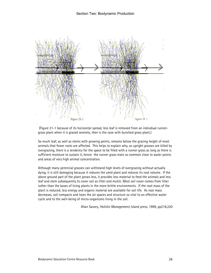

 (Figure 21-1 because of its horizontal spread, less leaf is removed from an individual runnergrass plant when it is grazed severely, then is the case with bunched grass plant.)

So much leaf, as well as stems with growing points, remains below the grazing height of most animals that fewer roots are affected. This helps to explain why, as upright grasses are killed by overgrazing, there is a tendency for the space to be filled with a runner grass as long as there is sufficient moisture to sustain it, hence the runner grass mats so common close to water points and areas of very high animal concentration.

Although many perennial grasses can withstand high levels of overgrazing without actually dying, it is still damaging because it reduces the yield plant and reduces its root volume. If the above ground part of the plant grows less, it provides less material to feed the animals and less leaf and stem subsequently to cover soil as litter and mulch. Most soil cover comes from litter rather than the bases of living plants in the more brittle environments. If the root mass of the plant is reduced, less energy and organic material are available for soil life. As root mass decreases, soil compacts and loses the air spaces and structure so vital to an effective water cycle and to the well-being of micro-organisms living in the soil.

Allan Savory, Holistic Management, Island press, 1999, pp218,220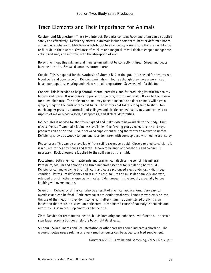# Trace Elements and Their Importance for Animals

Calcium and Magnesium: These two interact: Dolomite contains both and often can be applied safely and effectively. Deficiency effects in animals include soft teeth, bent or deformed bones, and nervous behaviour. Milk fever is attributed to a deficiency – make sure there is no chlorine or fluoride in their water. Overdose of calcium and magnesium will deplete copper, manganese, cobalt and zinc, and interfere with the absorption of iron.

Boron: Without this calcium and magnesium will not be correctly utilised. Sheep and goats become arthritic. Seaweed contains natural boron.

Cobalt: This is required for the synthesis of vitamin B12 in the gut. It is needed for healthy red blood cells and bone growth. Deficient animals will look as though they have a worm load, have poor appetite, scouring and below normal temperature. Seaweed will fix this too.

Copper: This is needed to help control internal parasites, and for producing keratin fro healthy hooves and horns. It is necessary to prevent ringworm, footrot and scald. It can be the reason for a low birth rate. The deficient animal may appear anaemic and dark animals will have a gingery tinge to the ends of the coat hairs. The winter coat takes a long time to shed. Too much copper prevents maturation of collagen and elastic connective tissues, and can lead to rupture of major blood vessels, osteoporosis, and skeletal deformities.

Iodine: This is needed for the thyroid gland and makes vitamins available to the body. High nitrate feedstuff can make iodine less available. Overfeeding peas, clover, lucerne and soya products can do this too. Give a seaweed supplement during the winter to maximise uptake. Deficiency shows as woody tongue and is seldom seen with cows sprayed with iodine teat spray.

Phosphorus: This can be unavailable if the soil is excessively acid. Closely related to calcium, it is required for healthy bones and teeth. A correct balance of phosphorus and calcium is necessary. Rock phosphate (applied to the soil) can put this right.

Potassium: Both chemical treatments and bracken can deplete the soil of this mineral. Potassium, sodium and chloride and three minerals essential for regulating body fluid. Deficiency can make giving birth difficult, and cause prolonged electrolyte loss – diarrhoea, vomiting. Potassium deficiency can result in renal failure and muscular paralysis, anorexia, retarded growth, lethargy, especially in cats. Cider vinegar in the trough, especially before lambing will overcome this.

Selenium: Deficiency of this can also be a result of chemical applications. Very easy to overdose and can be fatal. Deficiency causes muscular weakness. Lambs move slowly or lose the use of their legs. If they don't come right after vitamin E administered orally it is an indication that there is a selenium deficiency. It can be the cause of haemolytic anaemia and infertility. A seaweed supplement can be helpful.

Zinc: Needed for reproductive health; builds immunity and enhances liver function. It doesn't stop facial eczema but does help the body fight its effects.

Sulphur: Skin ailments and lice infestation or other parasites could indicate a shortage. The growing foetus needs sulphur and very small amounts can be added to a feed supplement.

Harvests, N.Z. BD Farming and Gardening, Vol 58, No. 2, p19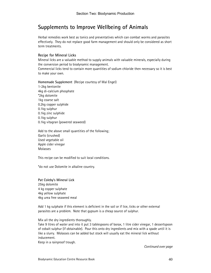# Supplements to Improve Wellbeing of Animals

Herbal remedies work best as tonics and preventatives which can combat worms and parasites effectively. They do not replace good farm management and should only be considered as short term treatments.

#### Recipe for Mineral Licks

Mineral licks are a valuable method to supply animals with valuable minerals, especially during the conversion period to biodynamic management.

Commercial licks tend to contain more quantities of sodium chloride then necessary so it is best to make your own.

#### Homemade Supplement (Recipe courtesy of Wal Engel)

1-2kg bentonite 4kg di-calcium phosphate \*2kg dolomite 1kg coarse salt 0.2kg copper sulphide 0.1kg sulphur 0.1kg zinc sulphide 0.1kg sulphur 0.1kg vitagran (powered seaweed)

Add to the above small quantities of the following; Garlic (crushed) Used vegetable oil Apple cider vinegar Molasses

This recipe can be modified to suit local conditions.

\*do not use Dolomite in alkaline country.

Pat Coleby's Mineral Lick 25kg dolomite 4 kg copper sulphate 4kg yellow sulphate 4kg urea free seaweed meal

Add 1 kg sulphate if this element is deficient in the soil or if lice, ticks or other external parasites are a problem. Note that gypsum is a cheap source of sulphur.

Mix all the dry ingredients thoroughly.

Take 9 litres of water and into it put 3 tablespoons of borax, 1 litre cider vinegar, 1 dessertspoon of cobalt sulphur (if obtainable). Pour this onto dry ingredients and mix with a spade until it is like a slurry. Molasses can be added but stock will usually eat the mineral lick without inducement.

Keep in a rainproof trough.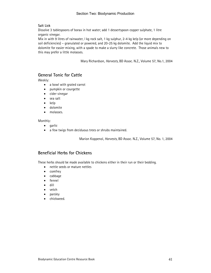#### Salt Lick

Dissolve 3 tablespoons of borax in hot water; add 1 dessertspoon copper sulphate, 1 litre organic vinegar.

Mix in with 9 litres of rainwater, l kg rock salt, 1 kg sulphur, 2-4 kg kelp (or more depending on soil deficiencies) – granulated or powered, and 20-25 kg dolomite. Add the liquid mix to dolomite for easier mixing, with a spade to make a slurry like concrete. Those animals new to this may prefer a little molasses.

Mary Richardson, Harvests, BD Assoc. N.Z., Volume 57, No.1, 2004

# General Tonic for Cattle

Weekly:

- a bowl with grated carrot
- pumpkin or courgette
- cider vinegar
- sea salt
- kelp
- dolomite
- molasses.

#### Monthly:

- garlic
- a few twigs from deciduous trees or shrubs maintained.

Marion Koppenol, Harvests, BD Assoc. N.Z., Volume 57, No. 1, 2004

### Beneficial Herbs for Chickens

These herbs should be made available to chickens either in their run or their bedding.

- nettle seeds or mature nettles
- comfrey
- cabbage
- fennel
- dill
- vetch
- parsley
- chickweed.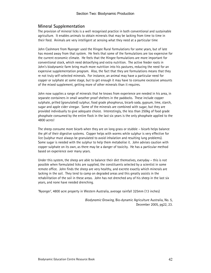## Mineral Supplementation

The provision of mineral licks is a well recognised practice in both conventional and sustainable agriculture. It enables animals to obtain minerals that may be lacking from time to time in their feed. Animals are very intelligent at sensing what they need at a particular time

John Cashmore from Nyonger used the Hingee Rural formulations for some years, but of late has moved away from that system. He feels that some of the formulations are too expensive for the current economic climate. He feels that the Hingee formulations are more important for conventional stock, which need detoxifying and extra nutrition. The active feeder roots in John's biodynamic farm bring much more nutrition into his pastures, reducing the need for an expensive supplementation program. Also, the fact that they are formulations means that they re not truly self-selected minerals. For instance, an animal may have a particular need for copper or sulphate at some stage, but to get enough it may have to consume excessive amounts of the mixed supplement, getting more of other minerals than it requires.

John now supplies a range of minerals that he knows from experience are needed in his area, in separate containers in small weather proof shelters in the paddocks. These include copper sulphate, prilled (granulated) sulphur, food grade phosphorus, bicarb soda, gypsum, lime, starch, sugar and apple cider vinegar. Some of the minerals are combined with sugar, but they are provided individually to give adequate choice. Interestingly, the less than 250kg of food grade phosphate consumed by the entire flock in the last six years is the only phosphate applied to the 4800 acres!

The sheep consume more bicarb when they are on long grass or stubble – bicarb helps balance the pH of their digestive systems. Copper helps with worms while sulphur is very effective for lice (sulphur must always be granulated to avoid inhalation and resulting lung problems). Some sugar is needed with the sulphur to help them metabolise it. John advises caution with copper sulphate on its own, as there may be a danger of toxicity. He has a particular method based on experience over many years.

Under this system, the sheep are able to balance their diet themselves, everyday – this is not possible when formulated licks are supplied, the constituents selected by a scientist in some remote office. John finds the sheep are very healthy, and excrete exactly which minerals are lacking in the soil. They tend to camp on degraded areas and this greatly assists in the rehabilitation of the soil in these areas. John has not drenched any of his sheep in the last six years, and none have needed drenching.

'Nyonger', 4800 acre property in Western Australia, average rainfall 325mm (13 inches)

Biodynamic Growing, Bio-dynamic Agriculture Australia, No. 5, December 2005, pg22, 23.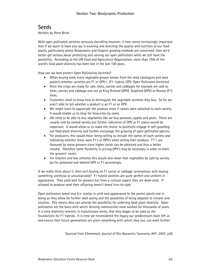# **Seeds**

Written by Peter Brink

With open pollinated varieties seriously dwindling however, it now seems increasingly important that if we want to have any say in evolving and directing the quality and nutrition of our food plants, particularly where Biodynamic and Organic growing methods are concerned, then we'd better get serious about protecting and valuing our open pollinators while we still have the possibility. According to the UN Food and Agriculture Organization, more than 75% of the world's food plant diversity has been lost in the last 100 years.

How can we best protect Open Pollinating Varieties?

- When buying seed, every vegetable grower knows from the seed catalogues and seed packets whether varieties are F1 or OPV s (F1: hybrid, OPV: Open Pollinated Varieties)
- Once the crops are ready for sale, leeks, carrots and cabbages for example are sold as leeks, carrots and cabbage and not as King Richard (OPV), Siegfried (OPV) or Roxton (F1) leeks.
- Customers need to know how to distinguish the vegetable varieties they buy. So far we aren't able to tell whether a product is an F1 or an OPV.
- We might learn to appreciate the produce more if names were attached to each variety. It would enable us to shop for favourites by name.
- We need to be able to buy vegetables like we buy potatoes, apples and pears. These are usually sold by named variety but further indication of OPV or F1 status would be important. It would allow us to make the choice to positively engage in self-guarding our food plant diversity and further encourage the growing of open pollinated species.
- For producers, this would mean being willing to include the names of each variety and indicating whether these were F1's or OPV's when selling their produce. F1''s are favoured by many growers since higher yields can be obtained and thus a better income. Therefore some flexibility in pricing OPV's may be necessary in order to meet the growers' needs.
- For retailers and box schemes this would also mean that vegetables be sold by variety (as for potatoes) and labeled OPV or F1 accordingly.

If we really think about it, then isn't buying an F1 carrot or cabbage synonymous with buying something unethical or unsustainable? F1 hybrid varieties are quite perfect and uniform in appearance. They yield well for growers but from a cultural aspect they are dead-ends. If allowed to produce seed their offspring doesn't breed true-to-type.

Open pollinators breed true (i.e. similar in yield and appearance to the parent plant) and in doing so they allow for further seed saving and the possibility of being adapted to climate and location. This means they can provide the possibility for widening food-plant diversity. Open pollinators are the basis with which farming communities have worked for thousands of years. It is only relatively recently, in evolutionary terms, that they began to be used as the foundations for F1 hybrids. It is time we reconsidered the legacy our predecessors have left us and ensure that future generations are given something with which they too, can work further.

Sourced from Elementals, Journal of Bio-Dynamics Tasmania, #87, 2007, p38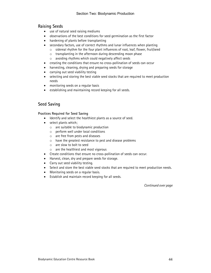## Raising Seeds

- use of natural seed raising mediums
- observations of the best conditions for seed germination as the first factor
- hardening of plants before transplanting
- secondary factors, use of correct rhythms and lunar influences when planting
	- o sidereal rhythm for the four plant influences of root, leaf, flower, fruit/seed
		- o transplanting in the afternoon during descending moon phase
		- o avoiding rhythms which could negatively affect seeds
- creating the conditions that ensure no cross-pollination of seeds can occur
- harvesting, cleaning, drying and preparing seeds for storage
- carrying out seed viability testing
- selecting and storing the best viable seed stocks that are required to meet production needs
- monitoring seeds on a regular basis
- establishing and maintaining record keeping for all seeds.

# Seed Saving

Practices Required for Seed Saving

- Identify and select the healthiest plants as a source of seed.
- select plants which;
	- o are suitable to biodynamic production
	- o perform well under local conditions
	- o are free from pests and diseases
	- o have the greatest resistance to pest and disease problems
	- o are slow to bolt to seed
	- o are the healthiest and most vigorous
- Create conditions that ensure no cross-pollination of seeds can occur.
- Harvest, clean, dry and prepare seeds for storage.
- Carry out seed viability testing.
- Select and store the best viable seed stocks that are required to meet production needs.
- Monitoring seeds on a regular basis.
- Establish and maintain record keeping for all seeds.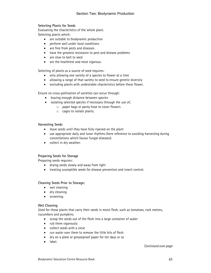#### Selecting Plants for Seeds

Evaluating the chacteristics of the whole plant. Selecting plants which:

- are suitable to biodynamic production
- perform well under local conditions
- are free from pests and diseases
- have the greatest resistance to pest and disease problems
- are slow to bolt to seed
- are the healthiest and most vigorous.

Selecting of plants as a source of seed requires:

- only allowing one variety of a species to flower at a time
- allowing a range of that variety to seed to ensure genetic diversity
- excluding plants with undesirable chacteristics before these flower.

Ensure no cross-pollination of varieties can occur through:

- leaving enough distance between species
- isolating selected species if necessary through the use of;
	- o paper bags or panty hose to cover flowers
	- o cages to isolate plants.

#### Harvesting Seeds

- leave seeds until they have fully ripened on the plant
- use appropriate daily and lunar rhythms (here reference to avoiding harvesting during constellations which favour fungal diseases)
- collect in dry weather.

#### Preparing Seeds for Storage

Preparing seeds requires:

- drying seeds slowly and away from light
- treating susceptible seeds for disease prevention and insect control.

#### Cleaning Seeds Prior to Storage:

- wet cleaning
- dry cleaning
- screening.

#### Wet Cleaning

Used for those plants that carry their seeds in moist flesh, such as tomatoes, rock melons, cucumbers and pumpkins.

- scoop the seeds out of the flesh into a large container of water
- rub them vigorously
- collect seeds with a sieve
- run water over them to remove the little bits of flesh
- dry on a plate or greaseproof paper for ten days or so
- label.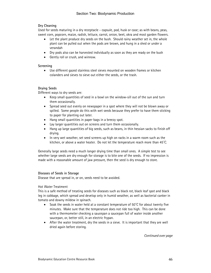#### Dry Cleaning

Used for seeds maturing in a dry receptacle - capsule, pod, husk or case; as with beans, peas, sweet corn, popcorn, maize, radish, lettuce, carrot, onion, beet, okra and most garden flowers.

- Let the plant produce dry seeds on the bush. Should rainy weather set in, the whole plant can be pulled out when the pods are brown, and hung in a shed or under a verandah
- Dry pods also can be harvested individually as soon as they are ready on the bush
- Gently roll or crush, and winnow.

#### Screening

• Use different gazed stainless steel sieves mounted on wooden frames or kitchen colanders and sieves to sieve out either the seeds, or the trash.

#### Drying Seeds

Different ways to dry seeds are:

- Keep small quantities of seed in a bowl on the window-sill out of the sun and turn them occasionally.
- Spread seed out evenly on newspaper in a spot where they will not be blown away or spilled. Some people do this with wet seeds because they prefer to have them sticking to paper for planting out later.
- Hang small quantities in paper bags in a breezy spot.
- Lay larger quantities out on screens and turn them occasionally.
- Hang up large quantities of big seeds, such as beans, in thin hessian sacks to finish off drying.
- In very wet weather, set seed screens up high on racks in a warm room such as the kitchen, or above a water heater. Do not let the temperature reach more than 45˚C.

Generally large seeds need a much longer drying time than small ones. A simple test to see whether large seeds are dry enough for storage is to bite one of the seeds. If no impression is made with a reasonable amount of jaw pressure, then the seed is dry enough to store.

#### Diseases of Seeds in Storage

Disease that are spread in, or on, seeds need to be avoided.

#### Hot Water Treatment

This is a safe method of treating seeds for diseases such as black rot, black leaf spot and black leg in cabbage, which spread and develop only in humid weather, as well as bacterial canker in tomato and downy mildew in spinach.

- Soak the seeds in water held at a constant temperature of 50˚C for about twenty five minutes. Make sure that the temperature does not ride too high. This can be done with a thermometer checking a saucepan a saucepan full of water inside another saucepan, or, better still, in an electric frypan.
- After the water treatment, dry the seeds in a sieve. It is important that they are well dried again before storing.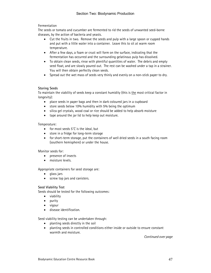#### Fermentation

The seeds or tomato and cucumber are fermented to rid the seeds of unwanted seed-borne diseases, by the action of bacteria and yeasts.

- Cut the fruits in two. Remove the seeds and pulp with a large spoon or cupped hands and put with a little water into a container. Leave this to sit at warm room temperature.
- After a few days, a foam or crust will form on the surface, indicating that the fermentation has occurred and the surrounding gelatinous pulp has dissolved.
- To obtain clean seeds, rinse with plentiful quantities of water. The debris and empty seed float, and are slowly poured out. The rest can be washed under a tap in a strainer. You will then obtain perfectly clean seeds.
- Spread out the wet mass of seeds very thinly and evenly on a non-stick paper to dry.

#### Storing Seeds

To maintain the viability of seeds keep a constant humidity (this is the most critical factor in longevity):

- place seeds in paper bags and then in dark coloured jars in a cupboard
- store seeds below 10% humidity with 5% being the optimum
- silica gel crystals, wood coal or rice should be added to help absorb moisture
- tape around the jar lid to help keep out moisture.

#### Temperature:

- for most seeds 5˚C is the ideal, but
- store in a fridge for long-term storage
- for short-term storage, put the containers of well dried seeds in a south facing room (southern hemisphere) or under the house.

#### Monitor seeds for:

- presence of insects
- moisture levels.

#### Appropriate containers for seed storage are:

- glass jars
- screw top jars and canisters.

#### Seed Viability Test

Seeds should be tested for the following outcomes:

- viability
- purity
- vigour
- disease identification.

Seed viability testing can be undertaken through:

- planting seeds directly in the soil
- planting seeds in controlled conditions either inside or outside to ensure constant warmth and moisture.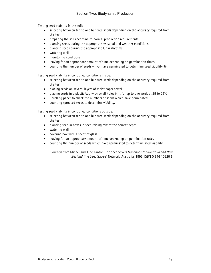Testing seed viability in the soil:

- selecting between ten to one hundred seeds depending on the accuracy required from the test
- preparing the soil according to normal production requirements
- planting seeds during the appropriate seasonal and weather conditions
- planting seeds during the appropriate lunar rhythms
- watering well
- monitoring conditions
- leaving for an appropriate amount of time depending on germination times
- counting the number of seeds which have germinated to determine seed viability %.

Testing seed viability in controlled conditions inside:

- selecting between ten to one hundred seeds depending on the accuracy required from the test
- placing seeds on several layers of moist paper towel
- placing seeds in a plastic bag with small holes in it for up to one week at 25 to 25˚C
- unrolling paper to check the numbers of seeds which have germinated
- counting sprouted seeds to determine viability.

Testing seed viability in controlled conditions outside:

- selecting between ten to one hundred seeds depending on the accuracy required from the test
- planting seed in boxes in seed raising mix at the correct depth
- watering well
- covering box with a sheet of glass
- leaving for an appropriate amount of time depending on germination rates
- counting the number of seeds which have germinated to determine seed viability.

Sourced from Michel and Jude Fanton, The Seed Savers Handbook for Australia and New Zealand, The Seed Savers' Network, Australia, 1993, ISBN 0 646 10226 5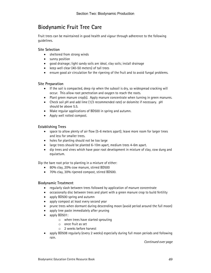# Biodynamic Fruit Tree Care

Fruit trees can be maintained in good health and vigour through adherence to the following guidelines.

#### Site Selection

- sheltered from strong winds
- sunny position
- good drainage; light sandy soils are ideal, clay soils; install drainage
- keep well clear (40-50 meters) of tall trees
- ensure good air circulation for the ripening of the fruit and to avoid fungal problems.

#### Site Preparation

- If the soil is compacted, deep rip when the subsoil is dry, so widespread cracking will occur. This allow root penetration and oxygen to reach the roots.
- Plant green manure crop(s). Apply manure concentrate when turning in green manures.
- Check soil pH and add lime (1/3 recommended rate) or dolomite if necessary. pH should be above 5.5.
- Make regular applications of BD500 in spring and autumn.
- Apply well rotted compost.

#### Establishing Trees

- space to allow plenty of air flow (5-6 meters apart); leave more room for larger trees and less for smaller trees.
- holes for planting should not be too large
- large trees should be planted 6-10m apart, medium trees 4-6m apart.
- dip trees and vines which have poor root development in mixture of clay, cow dung and equisetum.

Dip the bare root prior to planting in a mixture of either:

- 80% clay, 20% cow manure, stirred BD500
- 70% clay, 30% ripened compost, stirred BD500.

#### Biodynamic Treatment

- regularly slash between trees followed by application of manure concentrate
- occasionally disc between trees and plant with a green manure crop to build fertility
- apply BD500 spring and autumn
- apply compost at least every second year
- prune trees when dormant during descending moon (avoid period around the full moon)
- apply tree paste immediately after pruning
- apply BD501:
	- o when trees have started sprouting
	- o once fruit as set
	- o 2 weeks before harvest
- apply BD508 regularly (every 2 weeks) especially during full moon periods and following rain.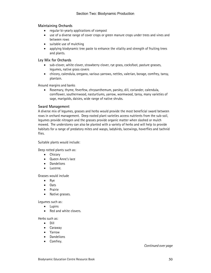#### Maintaining Orchards

- regular bi-yearly applications of compost
- use of a diverse range of cover crops or green manure crops under trees and vines and between rows
- suitable use of mulching
- applying biodynamic tree paste to enhance the vitality and strength of fruiting trees and plants.

#### Ley Mix for Orchards

- sub-clover, white clover, strawberry clover, rye grass, cocksfoot, pasture grasses, legumes, native grass covers
- chicory, calendula, oregano, various yarrows, nettles, valerian, borage, comfrey, tansy, plantain.

Around margins and banks

• Rosemary, thyme, feverfew, chrysanthemum, parsley, dill, coriander, calendula, cornflower, southernwood, nasturtiums, yarrow, wormwood, tansy, many varieties of sage, marigolds, daisies, wide range of native shrubs.

#### Sward Management

A diverse mix of legumes, grasses and herbs would provide the most beneficial sward between rows in orchard management. Deep rooted plant varieties access nutrients from the sub-soil, legumes provide nitrogen and the grasses provide organic matter when slashed or mulch mowed. The understorey can also be planted with a variety of herbs and will help to provide habitats for a range of predatory mites and wasps, ladybirds, lacewings, hoverflies and tachnid flies.

Suitable plants would include:

Deep rotted plants such as:

- Chicory
- Queen Anne's lace
- Dandelions
- Lucerne.

Grasses would include

- Rye
- Oats
- Prairie
- Native grasses.

Legumes such as:

- Lupins
- Red and white clovers.

Herbs such as:

- Dill
- Caraway
- Yarrow
- Dandelions
- Comfrey.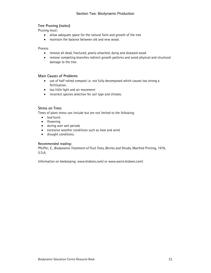### Tree Pruning (notes)

Pruning must:

- allow adequate space for the natural form and growth of the tree
- maintain the balance between old and new wood.

#### **Process**

- remove all dead, fractured, poorly attached, dying and diseased wood
- remove competing branches redirect growth patterns and avoid physical and structural damage to the tree.

#### Main Causes of Problems

- use of half rotted compost i.e. not fully decomposed which causes too strong a fertilisation.
- too little light and air movement
- incorrect species selection for soil type and climate.

#### Stress on Trees

Times of plant stress can include but are not limited to the following:

- bud burst
- flowering
- during over wet periods
- excessive weather conditions such as heat and wind
- drought conditions.

#### Recommended reading:

Pfeiffer, E., Biodynamic Treatment of Fruit Trees, Berries and Shrubs, Manfred Printing, 1976, U.S.A.

Information on beekeeping: www.biobees.com/ or www.warre.biobees.com/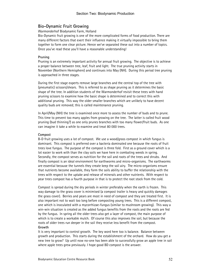### Bio-Dynamic Fruit Growing

Warmonderhof Biodynamic Farm, Holland

Bio-Dynamic fruit growing is one of the more complicated forms of food production. There are many different factors that exert their influence making it virtually impossible to bring them together to form one clear picture. Hence we've separated these out into a number of topics. Once you've read these you'll have a reasonable understanding!

#### Pruning

Pruning is an extremely important activity for annual fruit growing. The objective is to achieve a proper balance between tree, leaf, fruit and light. The true pruning activity starts in November (Northern Hemisphere) and continues into May (NH). During this period tree pruning is approached in three stages.

During the first stage experts remove large branches and the central top of the tree with (pneumatic) scissors/shears. This is referred to as shape pruning as it determines the basic shape of the tree. In addition students of the Warmonderhof revisit these trees with hand pruning scissors to examine how the basic shape is determined and to correct this with additional pruning. This way the older smaller branches which are unlikely to have decent quality buds are removed; this is called maintenance pruning.

In April/May (NH) the tree is examined once more to assess the number of buds and to prune. This time to prevent too many apples from growing on the tree. The latter is called fruit wood pruning (bud thinning?) as one only prunes branches with too many flower/fruit buds. As one can imagine it take a while to examine and treat 80 000 trees.

#### Compost

B-D fruit growing uses a lot of compost. We use a wood/grass compost in which fungus is dominant. This compost is preferred over a bacteria dominated one because the roots of fruit trees love fungus. The purpose of the compost is three fold. First as a ground cover which is a lot easier to work with than the clay soils we have here in combating weeds in spring. Secondly, the compost serves as nutrition for the soil and roots of the trees and shrubs. And finally compost is an ideal environment for earthworms and micro-organisms. The earthworms are essential because the tunnels they create keep the soil airy. The micro-organisms ensure that nutrients become available, they form the soils ability to buffer the relationship with the trees with respect to the uptake and release of minerals and other nutrients. With respect to pear trees compost has a fourth purpose in that is to protect the root stock from the cold.

Compost is spread during the dry periods in winter preferably when the earth is frozen. This way damage to the grass cover is minimised (a compost trailer is heavy and quickly damages the grass cover). Berries and pears are most in need of compost and they are treated first. It is also important not to wait too long before composting young trees. This is a different compost, one which is inoculated with a mycorrhizae-fungus (similar to mushroom growing). This way a win-win situation is created as the added fungus benefits from the roots and the roots are fed by the fungus. In spring all the older trees also get a layer of compost, the main purpose of which is to create a workable mulch. Of course this also improves the soil, but because the roots of older trees run deeper in the soil they receive less benefit from the compost. Growth

It is very important to control growth. The key word here too is balance. Balance between growth and production. This starts during the establishment of the orchard. How do you get a new tree to grow? Up until now no-one has been able to successfully grow an apple tree in soil where apple trees grew previously. I hope good BD compost is the answer.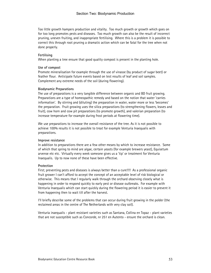Too little growth hampers production and vitality. Too much growth or growth which goes on for too long promotes pests and diseases. Too much growth can also be the result of incorrect pruning, uneven fruiting, and inappropriate fertilising. Where this is a problem it is possible to correct this through root pruning a dramatic action which can be fatal for the tree when not done properly.

#### Fertilising

When planting a tree ensure that good quality compost is present in the planting hole.

#### Use of compost

Promote mineralisation for example through the use of vinasse (by product of sugar beet) or feather flour. Anticipate future events based on test results of leaf and soil samples. Complement any extreme needs of the soil (during flowering).

#### Biodynamic Preparations

The use of preparations is a very tangible difference between organic and BD fruit growing. Preparations are a type of homeopathic remedy and based on the notion that water 'carries information'. By stirring and (diluting) the preparation in water, water more or less 'becomes' the preparation. Fruit growing uses the silica preparations (to strengthening flowers, leaves and fruit), cow horn and cow pit preparations (to promote growth), and valerian preparation (to increase temperature for example during frost periods at flowering time).

We use preparations to increase the overall resistance of the tree. As it is not possible to achieve 100% results it is not possible to treat for example Venturia Inaequalis with preparations.

#### Improve resistance

In addition to preparations there are a few other means by which to increase resistance. Some of which that spring to mind are algae, certain yeasts (for example brewers yeast), Equisetum arvense etc etc. Virtually every week someone gives us a 'tip' or treatment for Venturia Inaequalis. Up to now none of these have been effective.

#### Protection

First; preventing pests and diseases is always better than a cure!!!! As a professional organic fruit grower I can't afford to accept the concept of an acceptable level of risk biological or otherwise. This means that I regularly walk through the orchard observing closely what is happening in order to respond quickly to early pest or disease outbreaks. For example with Venturia Inaequalis which can start quickly during the flowering period it is easier to prevent it from happening then to wait till after the harvest.

I'll briefly describe some of the problems that can occur during fruit growing in the polder (the reclaimed areas in the centre of The Netherlands with very clay soil).

Venturia inaequalis - plant resistant varieties such as Santana, Collina en Topaz - plant varieties that are not susceptible such as Concorde, nr 251 en Autento - ensure the orchard is clean.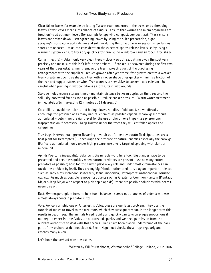Clear fallen leaves for example by letting Turkeys roam underneath the trees, or by shredding leaves. Fewer leaves means less chance of fungus - ensure that worms and micro organisms are functioning at optimum levels (for example by applying compost, compost tea). These ensure leaves are broken down – strengthening leaves by using the silica preparation, algae spraying/misting etc – add calcium and sulphur during the time of year or season when fungus spores are released - take into consideration the expected spores release levels i.e. by using a warming system - ensure trees dry quickly after rain i.e. no windbreaks and an 'open' tree shape.

Canker (nectria) - obtain only very clean trees – closely scrutinise, cutting away the spot very precisely and make sure this isn't left in the orchard - if canker is discovered during the first two years of the trees establishment remove the tree (make this part of the purchasing arrangements with the supplier) - reduce growth after year three, fast growth creates a weaker tree - create an open tree shape, a tree with an open shape dries quicker - minimise friction of the tree and support stakes or wire. Tree wounds are sensitive to canker - add calcium - be careful when pruning in wet conditions as it results in wet wounds.

Storage molds reduce storage times - maintain distance between apples on the trees and the soil - dry harvested fruit as soon as possible - reduce canker pressure - Warm water treatment immediately after harvesting (2 minutes at 51 degrees C).

Caterpillars - avoid host plants and hiding places, no piles of old wood, no windbreaks encourage the presence of as many natural enemies as possible especially earwigs (Forficula auricularia) – determine the right level for the use of pheromone traps - use pheromone traps/confusion if necessary - Keep Turkeys under the trees they will eat fallen apples and caterpillars.

True bugs: Heteroptera - green flowering - watch out for nearby potato fields (potatoes are a host plant for Heteroptera ) - encourage the presence of natural enemies especially the earwigs (Forficula auricularia) - only under high pressure, use a very targeted spraying with plant or mineral oil.

Aphids (Venturia inaequalis). Balance is the miracle word here too. Big plagues have to be prevented and occur less quickly when natural predators are present - use as many natural predators as possible; here too the earwig plays a key role and under most circumstances can tackle the problem by itself. They are my big friends - other predators play an important role too such as: lady birds, Ischiodon scutellaris,, Ichneumonoidea, Heteroptera: Anthocoridae, Miridae etc. etc. As much as possible remove host plants such as Greater or Common Plantain (Plantago Major sub sp Major with respect to pink apple aphids)- there are possible solutions with neem & neem tree oil.

Rust: Gymnosporangium fuscum; here too - balance - spread out branches of older tees these almost always contain predator mites.

Vole: Arvicola amphibious or A. terrestris Voles, these are our latest problem. They use the tunnels of moles to travel to the tree roots which they subsequently eat. In the longer term this results in dead trees. The animals breed rapidly and quickly can take on plague proportions if not kept in check in time. Voles are a protected species and we need permission from the relevant authorities to deal with this species. Traps have been placed underground of the back part of the orchard at de Knooplaan 6. Gerrit Nagelhout checks these traps regularly and catches many a Vole.

Let's hope the orchard wins the battle.

Written by Wil Sturkenboom, Warmonderhof College, Holland, 2002-2007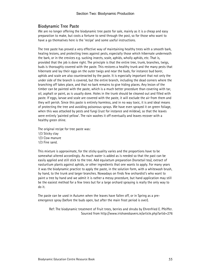# Biodynamic Tree Paste

We are no longer offering the biodynamic tree paste for sale, mainly as it is a cheap and easy preparation to make, but costs a fortune to send through the post, so for those who want to have a go themselves here is the 'recipe' and some useful instructions.

The tree paste has proved a very effective way of maintaining healthy trees with a smooth bark, healing lesions, and protecting trees against pests, especially those which hibernate underneath the bark, or in the crevices e.g. sucking insects, scale, aphids, wholly aphids, etc. That is, provided that the job is done right. The principle is that the entire tree, trunk, branches, twigs, buds is thoroughly covered with the paste. This restores a healthy trunk and the many pests that hibernate and lay their eggs on the outer twigs and near the buds, for instance bud borer, aphids and scale are also counteracted by the paste. It is especially important that not only the under side of the branch is covered, but the entire branch, including the dead corners where the branching off takes place, and that no bark remains to give hiding places. Any lesion of the timber can be painted with the paste, which is a much better procedure than covering with tar, oil, asphalt or paint, as is usually done. Holes in the trunk should be cleaned out and filled with paste. If eggs, larvae and scale are covered with the paste, it will exclude the air from them and they will perish. Since this paste is entirely harmless, and in no way toxic, it is and ideal means of protecting the tree and avoiding poisonous sprays. We have even sprayed it on green foliage, when this was attacked by pests and fungi (rust for instance and mildew), so that the leaves were entirely 'painted yellow'. The rain washes it off eventually and leaves recover with a healthy green shine.

The original recipe for tree paste was: 1/3 Sticky clay 1/3 Cow manure 1/3 Fine sand.

This mixture is approximate, for the sticky quality varies and the proportions have to be somewhat altered accordingly. As much water is added as is needed so that the past can be easily applied and still stick to the tree. Add equisetum preparation (horsetail tea), extract of nasturtium plants against aphids, or other ingredients that one wants to apply. For many years it was the biodynamic practice to apply the paste, in the solution form, with a whitewash brush, by hand, to the trunk and larger branches. Nowadays on finds few orchardist's who want to paint a tree by hand and we admit it is rather a messy procedure, but hand application may still be the easiest method for a few trees but for a large orchard spraying is really the only way to do it.

The paste can be used in Autumn when the leaves have fallen off, or in Spring as a preemergence spray (before the buds open, but after the main frost period is over).

Ref: The biodynamic treatment of Fruit trees, berries and shrubs by Ehrenfried E. Pfeiffer. Sourced from http://www.irishseedsavers.ie/article.php?artid=276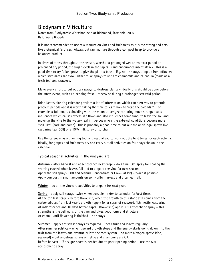# Biodynamic Viticulture

Notes from Biodynamic Workshop held at Richmond, Tasmania, 2007 By Graeme Roberts

It is not recommended to use raw manure on vines and fruit trees as it is too strong and acts like a chemical fertiliser. Always put raw manure through a compost heap to provide a balanced product.

In times of stress throughout the season, whether a prolonged wet or overcast period or prolonged dry period, the sugar levels in the sap falls and encourages insect attack. This is a good time to try foliar sprays to give the plant a boost. E.g. nettle sprays bring an iron influence which stimulates sap flow. Other foliar sprays to use are chamomile and calendula (made as a fresh tea) and seaweed.

Make every effort to put out tea sprays to destress plants – ideally this should be done before the stress event, such as a pending frost – otherwise during a prolonged stressful period.

Brian Keat's planting calendar provides a lot of information which can alert you to potential problem periods –so it is worth taking the time to learn how to "read the calendar". For example, a full moon, coinciding with the moon at perigee can bring much stronger water influences which causes excess sap flows and also influences some fungi to leave the soil and move up the vine to the watery leaf influences where the external conditions become more "soil-like" (dark and damp). This is probably a good time to put out the antifungal sprays like casuarina tea (508) or a 10% milk spray or sulphur.

Use the calendar as a planning tool and read ahead to work out the best times for each activity. Ideally, for grapes and fruit trees, try and carry out all activities on fruit days shown in the calendar.

#### Typical seasonal activities in the vineyard are:

Autumn – after harvest and at senescence (leaf drop) – do a final 501 spray for healing the scarring caused when leaves fall and to prepare the vine for next season. Apply the soil sprays (500 and Manure Concentrate or Cow-Pat Pit) – twice if possible. Apply compost in small amounts on soil – after harvest and after leaf fall.

Winter – do all the vineyard activities to prepare for next year.

Spring – apply soil sprays (twice when possible – refer to calendar for best times). At the ten leaf stage – before flowering, when the growth to this stage still comes from the carbohydrates from last year's growth –apply foliar spray of seaweed, fish, nettle, casuarina. At inflorescence and 10 days before capfall (flowering) apply 501 atmospheric spray – this strengthens the cell walls of the vine and gives good form and structure. At capfall until flowering is finished – no sprays.

Summer – apply antistress sprays as required. Check fruit and leaves regularly. After summer solstice – when upward growth stops and the energy starts going down into the fruit from the leaves and eventually into the root system – no more nitrogen sprays (fish, seaweed) – but antistress sprays of nettle and chamomile are OK. Before harvest – if a sugar boost is needed due to poor ripening period – use the 501 atmospheric spray.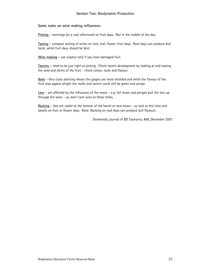#### Some notes on wine making influences:

Picking – mornings (or a cool afternoon) on fruit days. Not in the middle of the day.

Tasting – compare tasting of wines on root, leaf, flower, fruit days. Root days can produce dull taste, while fruit days should be best.

Wine making – use sulphur only if you have damaged fruit.

Tannins – need to be just right at picking. Check tannin development by looking at and tasting the seed and stems of the fruit – check colour, taste and flavour.

Note – Very close planting means the grapes are more shielded and while the flavour of the fruit may appear alright the stalks and tannin could still be green and unripe.

Lees - are affected by the influences of the moon - e.g. full moon and perigee pull the lees up through the wine – so, don't rack wine at these times.

Racking - lees are stable at the bottom of the barrel at new moon - so rack at this time and ideally on fruit or flower days. Note: Racking on root days can produce dull flavours.

Elementals, Journal of BD Tasmania, #88, December 2007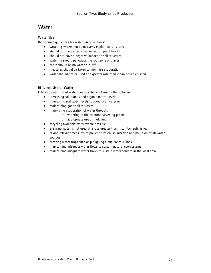# **Water**

### Water Use

Biodynamic guidelines for water usage requires:

- watering system must not overly exploit water source
- should not have a negative impact on plant health
- should not have a negative impact on soil structure
- watering should penetrate the root zone of plants
- there should be no water run-off
- measures should be taken to minimise evaporation
- water should not be used at a greater rate than it can be replenished.

#### Efficient Use of Water

Efficient water use of water can be achieved through the following:

- increasing soil humus and organic matter levels
- monitoring soil water levels to avoid over watering
- maintaining good soil structure
- minimising evaporation of water through;
	- o watering in the afternoon/evening period
	- o appropriate use of mulching
- recycling available water where possible
- ensuring water is not used at a rate greater than it can be replenished
- taking relevant measures to prevent erosion, salinisation and pollution of all water sources
- creating water traps such as ploughing along contour lines
- maintaining adequate water flows to sustain natural eco-systems
- maintaining adequate water flows to sustain water sources in the local area.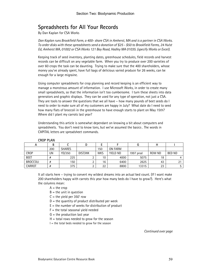# Spreadsheets for All Your Records

By Dan Kaplan for CSA Works

Dan Kaplan runs Brookfield Farm, a 400- share CSA in Amherst, MA and is a partner in CSA Works. To order disks with these spreadsheets send a donation of \$25 - \$50 to Brookfield Farms, 24 Hulst Ed, Amherst MA, 01002 or CSA Works 121 Bay Road, Hadley MA 01035. (specify Works or Excel).

Keeping track of seed inventory, planting dates, greenhouse schedules, field records and harvest records can be difficult on any vegetable farm. When you try to produce over 200 varieties of over 60 crops the task can be daunting. Trying to make sure that the 400 shareholders, whose money you've already spent, have full bags of delicious varied produce for 26 weeks, can be enough for a large migraine.

Using computer spreadsheets for crop planning and record keeping is an efficient way to manage a monstrous amount of information. I use Microsoft Works, in order to create many small spreadsheets, so that the information isn't too cumbersome. I turn these sheets into data generators and graphic displays. They can be used for any type of operation, not just a CSA. They are tools to answer the questions that we all have – how many pounds of beet seeds do I need to order to make sure all of my customers are happy in July? What date do I need to seed how many flats of broccoli in the greenhouse to have enough starts to plant on May 15th? Where did I plant my carrots last year?

Understanding this article is somewhat dependant on knowing a bit about computers and spreadsheets. You don't need to know tons, but we've assumed the basics . The words in CAPITAL letters are spreadsheet commands.

|                 |     |               |         |            |          | u         |        |               |
|-----------------|-----|---------------|---------|------------|----------|-----------|--------|---------------|
|                 | 200 | <b>SHARES</b> |         | 150        | ON FARM  |           |        |               |
| <b>CROP</b>     | UN  | YD/350        | DIST/WK | <b>WKS</b> | YIELD ND | 1997 prod | ROW ND | <b>BED ND</b> |
| <b>BEET</b>     | #   | 225           | ∸       | 10         | 4000     | 5075      | 18     | 4             |
| <b>BROCCOLI</b> | #   | 150           |         | 16         | 6400     | 2625      | 43     |               |
| CARROT          | #   | 375           | ⌒       | 22         | 8800     | 13315     | 23     | э             |

#### CROP PLAN

It all starts here – trying to convert my wildest dreams into an actual bed count. (If I want make 200 shareholders happy with carrots this year how many beds do I have to grow?). Here's what the columns mean:

 $A =$  the crop

 $B =$  the unit in question

 $C =$  the yield per 350' row

 $D =$  the quantity of product distributed per week

 $E =$  the number of weeks for distribution of product

 $F =$  the total seasonal yield needed

 $G =$  the production last year

 $H =$  total rows needed to grow for the season

 $I =$  the total beds needed to grow for the season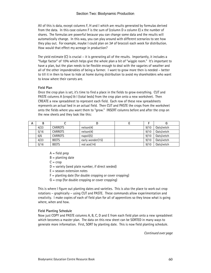All of this is data, except columns F, H and I which are results generated by formulas derived from the data. In this case column F is the sum of (column  $D \times$  column E) x the number of shares. The formulas are powerful because you can change some data and the results will automatically change. In this way, you can play around with different scenarios to see how they play out. For example, maybe I could plan on 3# of broccoli each week for distribution. How would that effect my acreage in production?

The yield estimate (C) is crucial – it is generating all of the results. Importantly, it includes a "fudge factor" of 10% which helps give the whole plan a bit of "wiggle room." It's important to have a plan, but the plan needs to be flexible enough to deal with the vagaries of weather and all of the other imponderables of being a farmer. I want to grow more then is needed – better to till it in then to have to hide at home during distribution to avoid my shareholders who want to know where their carrots are.

#### Field Plan

Once the crop plan is set, it's time to find a place in the fields to grow everything. CUT and PASTE columns A (crops) & I (total beds) from the crop plan onto a new worksheet. Then CREATE a new spreadsheet to represent each field. Each row of these new spreadsheets represents an actual bed in an actual field. Then CUT and PASTE the crops from the worksheet onto the fields where you want them to "grow." INSERT columns before and after the crop on the new sheets and they look like this:

| A |      |                |                  |      |            |
|---|------|----------------|------------------|------|------------|
|   | 4/23 | <b>CARROTS</b> | nelson(4)        | 9/10 | Oats/vetch |
|   | 5/16 | <b>CARROTS</b> | nelson(4)        | 9/10 | Oats/vetch |
|   | 6/6  | <b>CARROTS</b> | napoli(5)        | 9/10 | Oats/vetch |
|   | 4/23 | <b>BEETS</b>   | early wonder(15) | 9/10 | Oats/vetch |
|   | 5/16 | <b>BEETS</b>   | red $ace(14)$    | 9/10 | Oats/vetch |

- $A = field$  prep
- $B =$  planting date
- $C = crop$
- $D =$  variety (seed plate number, if direct seeded)
- $E =$  season extension notes
- $F =$  planting date (for double cropping or cover cropping)
- $G = \text{crop}$  (for double cropping or cover cropping)

This is where I figure out planting dates and varieties. This is also the place to work out crop rotations – graphically – using CUT and PASTE. These commands allow experimentation and creativity. I make copies of each of field plan for all of apprentices so they know what is going where, when and how.

#### Field Planting Schedule

Now just COPY and PASTE columns A, B, C, D and E from each field plan onto a new spreadsheet which becomes a master plan. The data on this new sheet can be SORTED in many ways to generate more information. First, SORT by planting date. This is now field planting schedule.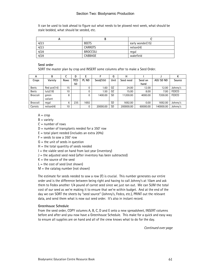It can be used to look ahead to figure out what needs to be plowed next week, what should be stale bedded, what should be seeded, etc.

| Γι   |                 |                  |
|------|-----------------|------------------|
| 4/23 | <b>BFFTS</b>    | early wonder(15) |
| 4/23 | CARROTS         | nelson(4)        |
| 4/28 | <b>BROCCOLI</b> | regal            |
| 4/28 | CABBAGE         | wakefield        |

#### Seed order

SORT the master plan by crop and INSERT some columns after to make a Seed Order.

| $\mathbf{\mathsf{a}}$ |                  |             |      |       |          | G         | н         |          |           |              |
|-----------------------|------------------|-------------|------|-------|----------|-----------|-----------|----------|-----------|--------------|
| Crops                 | Variety          | <b>Rows</b> | TP/3 | PL ND | Seed/350 | Unit      | Seed need | Seed on  | ADJ SD ND | Source       |
|                       |                  |             | 50   |       |          |           |           | hand     |           |              |
| <b>Beets</b>          | $Red$ ace $(14)$ | 15          |      |       | 1.60     | 0Z        | 24.00     | 12.00    | 12.00     | Johnny's     |
| <b>Beets</b>          | utz(19)          | 10          |      |       | 1.50     | 0Z        | 15.00     | 8.00     | 7.00      | <b>FEDCO</b> |
| Broccoli              | green            | 8           |      | 0     | 1400.00  | SD        | 11200.00  | 4000.00  | 7200.00   | <b>FEDCO</b> |
|                       | valiant          |             |      |       |          |           |           |          |           |              |
| Broccoli              | regal            | 6           | 235  | 1692  |          | <b>SD</b> | 1692.00   | 0.00     | 1692.00   | Johnny's     |
| Carrots               | nelson(4)        | 10          |      | 0     | 20000.00 | <b>SD</b> | 200000.00 | 60000.00 | 140000.00 | Johnny's     |

 $A = crop$ 

 $B = \text{variety}$ 

- $C =$  number of rows
- $D =$  number of transplants needed for a 350' row
- $E =$  total plant needed (includes an extra 20%)
- $F =$  seeds to sow a 350' row
- $G =$  the unit of seeds in question
- $H =$  the total quantity of seeds needed
- $I =$  the viable seed on hand from last year (inventory)
- J = the adjusted seed need (after inventory has been subtracted)
- $K =$  the source of the seed
- $L =$  the cost of seed (not shown)
- $M =$  the catalog number (not shown)

The estimate for seeds needed to sow a row (F) is crucial. This number generates our entire order and is the difference between being right and having to call Johnny's at 10am and ask them to Fedex another 1/4 pound of carrot seed since we just ran out. We can SUM the total cost of our seed as we're making it to ensure that we're within budget. And at the end of the day we can SORT the sheets by "seed source" (Johnny's, Fedco, etc.), PRINT out the relevant data, and send them what is now out seed order. It's also in instant record.

#### Greenhouse Schedule

From the seed order, COPY columns A, B, C, D and E onto a new spreadsheet, INSERT columns before and after and you now have a Greenhouse Schedule. This make for a quick and easy way to ensure all supplies are on hand and all of the crew knows what to do for the day.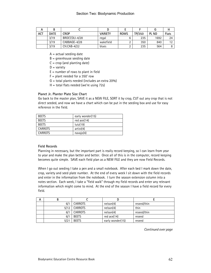|            |             |               |                |             |        |       | н            |
|------------|-------------|---------------|----------------|-------------|--------|-------|--------------|
| <b>ACT</b> | <b>DATE</b> | CROP          | <b>VARIETY</b> | <b>ROWS</b> | TP/350 | PL ND | <b>Flats</b> |
|            | 3/19        | BROCCOLI-4/28 | regal          | 6           | 235    | 1692  | 24           |
|            | 3/19        | CABBAGE-4/28  | wakefield      |             | 350    | 840   | $1^{\circ}$  |
|            | 3/19        | CH.CAB-4/22   | blues          |             | 235    | 564   |              |

- $A = actual$  seeding date
- $B =$  greenhouse seeding date
- $C = \text{crop}$  (and planting date)

 $D =$  variety

- $E =$  number of rows to plant in field
- $F =$  plant needed for a 350' row
- $G =$  total plants needed (includes an extra 20%)
- H = total flats needed (we're using 72s)

#### Planet Jr. Planter Plate Size Chart

Go back to the master plan, SAVE it as a NEW FILE, SORT it by crop, CUT out any crop that is not direct seeded, and now we have a chart which can be put in the seeding box and use for easy reference in the field.

| <b>BEFTS</b>   | early wonder(15) |
|----------------|------------------|
| <b>REFTS</b>   | red $ace(14)$    |
| <b>REFTS</b>   | utz(19)          |
| <b>CARROTS</b> | artist(4)        |
| <b>CARROTS</b> | $n$ avajo $(4)$  |

#### Field Records

Planning in necessary, but the important part is really record keeping, so I can learn from year to year and make the plan better and better. Once all of this is in the computer, record keeping becomes quite simple. SAVE each field plan as a NEW FILE and they are now Field Records.

When I go out seeding I take a pen and a small notebook. After each bed I mark down the date, crop, variety and seed plate number. At the end of every week I sit down with the field records and enter in the information from the notebook. I turn the season extension column into a notes section. Each week, I take a "field walk" through my field records and enter any relevant information which might come to mind. At the end of the season I have a field record for every field.

| Α |      |                |                  |             |
|---|------|----------------|------------------|-------------|
|   | 6/1  | <b>CARROTS</b> | nelson(4)        | reseed/thin |
|   | 5/12 | CARROTS        | nelson(4)        | thin        |
|   | 6/1  | <b>CARROTS</b> | nelson(4)        | reseed/thin |
|   | 6/1  | <b>BEETS</b>   | red $ace(14)$    | reseed      |
|   | 5/21 | <b>BEETS</b>   | early wonder(15) | reseed      |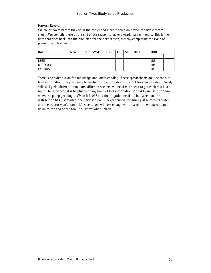#### Section Two: Biodynamic Production

#### Harvest Record

We count boxes before they go in the cooler and mark it down on a weekly harvest record sheet. We compile these at the end of the season to make a yearly harvest record. This is the data that goes back into the crop plan for the next season, thereby completing the cycle of planning and learning.

| <b>DATE</b>     | Mon | Tues | Wed | Thurs | Fri | Sat | <b>TOTAL</b> | <b>UNIT</b> |  |
|-----------------|-----|------|-----|-------|-----|-----|--------------|-------------|--|
|                 |     |      |     |       |     |     |              |             |  |
| <b>BEETS</b>    |     |      |     |       |     |     |              | LBS.        |  |
| <b>BROCCOLI</b> |     |      |     |       |     |     |              | LBS.        |  |
| <b>CARROTS</b>  |     |      |     |       |     |     |              | LBS.        |  |

There is no substitution for knowledge and understanding. These spreadsheets are just tools to hold information. They will only be useful if the information is correct for your situation. Sandy soils will yield different than loam, different seeders will need more seed to get each row just right, etc. However, it is helpful to rid my brain of lots information so that I can use it to think when the going get tough. When it is 95F and the irrigation needs to be turned on, the distribution has just started, the harvest crew is inexperienced, the truck just burned its clutch, and the tractor won't start – it's nice to know I have enough carrot seed in the hopper to get down to the end of the row. You know what I mean…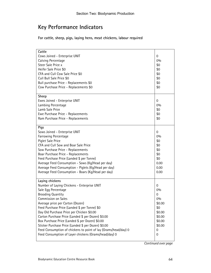# Key Performance Indicators

For cattle, sheep, pigs, laying hens, meat chickens, labour required

| Cattle                                                          |        |
|-----------------------------------------------------------------|--------|
| Cows Joined - Enterprise UNIT                                   | 0      |
| Calving Percentage                                              | 0%     |
| Steer Sale Price x                                              | \$0    |
| Heifer Sale Price \$0                                           | \$0    |
| CFA and Cull Cow Sale Price \$0                                 | \$0    |
| Cull Bull Sale Price \$0                                        | \$0    |
| Bull purchase Price - Replacements \$0                          | \$0    |
| Cow Purchase Price - Replacements \$0                           | \$0    |
|                                                                 |        |
| <b>Sheep</b>                                                    | 0      |
| Ewes Joined - Enterprise UNIT                                   | 0%     |
| Lambing Percentage<br>Lamb Sale Price                           |        |
|                                                                 | \$0    |
| Ewe Purchase Price - Replacements                               | \$0    |
| Ram Purchase Price - Replacements                               | \$0    |
| Pigs                                                            |        |
| Sows Joined - Enterprise UNIT                                   | 0      |
| Farrowing Percentage                                            | 0%     |
| Piglet Sale Price                                               | \$0    |
| CFA and Cull Sow and Boar Sale Price                            | \$0    |
| Sow Purchase Price - Replacements                               | \$0    |
| Boar Purchase Price - Replacements                              | \$0    |
| Feed Purchase Price (Landed \$ per Tonne)                       | \$0    |
| Average Feed Consumption - Sows (Kg/Head per day)               | 0.00   |
| Average Feed Consumption - Piglets (Kg/Head per day)            | 0.00   |
| Average Feed Consumption - Boars (Kg/Head per day)              | 0.00   |
|                                                                 |        |
| Laying chickens                                                 |        |
| Number of Laying Chickens - Enterprise UNIT                     | 0      |
| Sale Egg Percentage                                             | 0%     |
| <b>Brooding Quantity</b>                                        | 0      |
| <b>Commission on Sales</b>                                      | 0%     |
| Average price per Carton (Dozen)                                | \$0.00 |
| Feed Purchase Price (Landed \$ per Tonne) \$0                   | \$0    |
| Day Old Purchase Price per Chicken \$0.00                       | \$0.00 |
| Carton Purchase Price (Landed \$ per Dozen) \$0.00              | \$0.00 |
| Box Purchase Price (Landed \$ per Dozen) \$0.00                 | \$0.00 |
| Sticker Purchase Price (Landed \$ per Dozen) \$0.00             | \$0.00 |
| Feed Consumption of chickens to point of lay (Grams/head/day) 0 | 0      |
| Feed Consumption of Layer chickens (Grams/head/day) 0           | 0      |
|                                                                 |        |